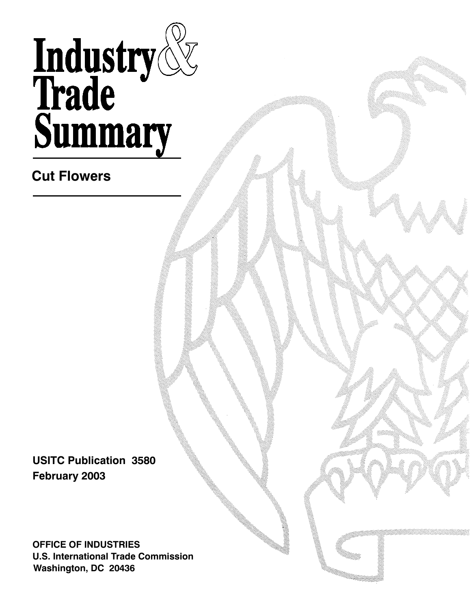# Industry<br>Trade<br>Summary

**Cut Flowers**

**USITC Publication 3580 February 2003**

**OFFICE OF INDUSTRIES U.S. International Trade Commission Washington, DC 20436**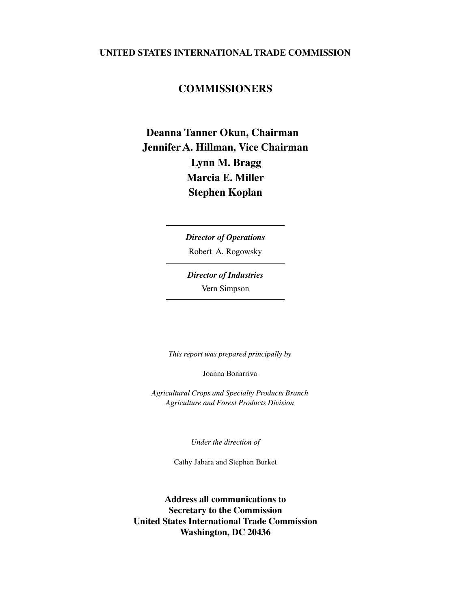## **UNITED STATES INTERNATIONAL TRADE COMMISSION**

## **COMMISSIONERS**

## **Marcia E. Miller Deanna Tanner Okun, Chairman Jennifer A. Hillman, Vice Chairman Lynn M. Bragg Stephen Koplan**

Robert A. Rogowsky *Director of Operations*

Vern Simpson *Director of Industries*

*This report was prepared principally by*

Joanna Bonarriva

*Agricultural Crops and Specialty Products Branch Agriculture and Forest Products Division*

*Under the direction of*

Cathy Jabara and Stephen Burket

**Address all communications to Secretary to the Commission United States International Trade Commission Washington, DC 20436**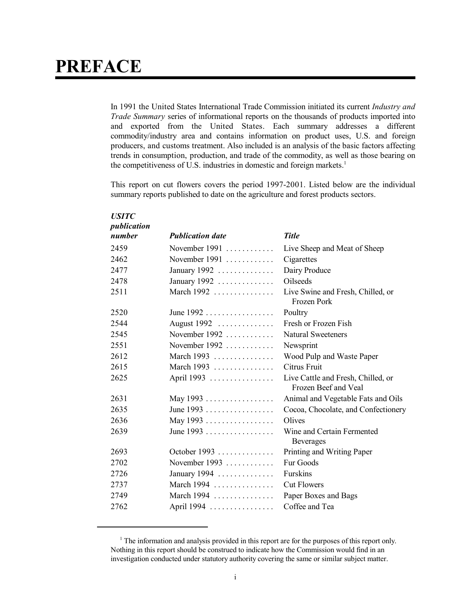# **PREFACE**

In 1991 the United States International Trade Commission initiated its current *Industry and Trade Summary* series of informational reports on the thousands of products imported into and exported from the United States. Each summary addresses a different commodity/industry area and contains information on product uses, U.S. and foreign producers, and customs treatment. Also included is an analysis of the basic factors affecting trends in consumption, production, and trade of the commodity, as well as those bearing on the competitiveness of U.S. industries in domestic and foreign markets.<sup>1</sup>

This report on cut flowers covers the period 1997-2001. Listed below are the individual summary reports published to date on the agriculture and forest products sectors.

| <b>USITC</b> |                                      |                                                            |
|--------------|--------------------------------------|------------------------------------------------------------|
| publication  |                                      |                                                            |
| number       | <b>Publication date</b>              | <b>Title</b>                                               |
| 2459         | November 1991 $\dots\dots\dots\dots$ | Live Sheep and Meat of Sheep                               |
| 2462         | November $1991$                      | Cigarettes                                                 |
| 2477         | January 1992                         | Dairy Produce                                              |
| 2478         | January 1992                         | <b>Oilseeds</b>                                            |
| 2511         | March 1992 $\ldots$                  | Live Swine and Fresh, Chilled, or<br>Frozen Pork           |
| 2520         | June $1992$                          | Poultry                                                    |
| 2544         | August 1992                          | Fresh or Frozen Fish                                       |
| 2545         | November $1992$                      | <b>Natural Sweeteners</b>                                  |
| 2551         | November $1992$                      | Newsprint                                                  |
| 2612         | March 1993                           | Wood Pulp and Waste Paper                                  |
| 2615         | March 1993                           | Citrus Fruit                                               |
| 2625         | April 1993                           | Live Cattle and Fresh, Chilled, or<br>Frozen Beef and Veal |
| 2631         | May 1993                             | Animal and Vegetable Fats and Oils                         |
| 2635         | June $1993$                          | Cocoa, Chocolate, and Confectionery                        |
| 2636         | May 1993                             | Olives                                                     |
| 2639         | June 1993                            | Wine and Certain Fermented<br><b>Beverages</b>             |
| 2693         | October 1993                         | Printing and Writing Paper                                 |
| 2702         | November 1993 $\dots$                | Fur Goods                                                  |
| 2726         | January 1994 $\ldots$                | Furskins                                                   |
| 2737         | March 1994                           | <b>Cut Flowers</b>                                         |
| 2749         | March $1994$                         | Paper Boxes and Bags                                       |
| 2762         | April 1994                           | Coffee and Tea                                             |

<sup>&</sup>lt;sup>1</sup> The information and analysis provided in this report are for the purposes of this report only. Nothing in this report should be construed to indicate how the Commission would find in an investigation conducted under statutory authority covering the same or similar subject matter.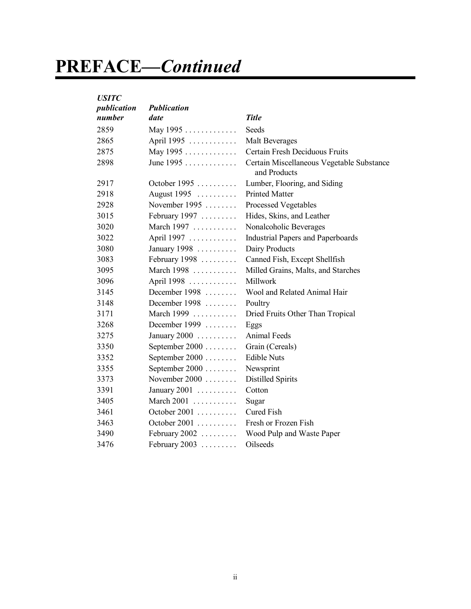# **PREFACE—***Continued*

| <b>USITC</b> |                    |                                                           |
|--------------|--------------------|-----------------------------------------------------------|
| publication  | <b>Publication</b> |                                                           |
| number       | date               | <b>Title</b>                                              |
| 2859         | May 1995           | Seeds                                                     |
| 2865         | April 1995         | Malt Beverages                                            |
| 2875         | May 1995           | Certain Fresh Deciduous Fruits                            |
| 2898         | June 1995          | Certain Miscellaneous Vegetable Substance<br>and Products |
| 2917         | October 1995       | Lumber, Flooring, and Siding                              |
| 2918         | August 1995        | <b>Printed Matter</b>                                     |
| 2928         | November 1995      | Processed Vegetables                                      |
| 3015         | February 1997      | Hides, Skins, and Leather                                 |
| 3020         | March 1997         | Nonalcoholic Beverages                                    |
| 3022         | April 1997         | <b>Industrial Papers and Paperboards</b>                  |
| 3080         | January 1998       | Dairy Products                                            |
| 3083         | February 1998      | Canned Fish, Except Shellfish                             |
| 3095         | March 1998         | Milled Grains, Malts, and Starches                        |
| 3096         | April 1998         | Millwork                                                  |
| 3145         | December 1998      | Wool and Related Animal Hair                              |
| 3148         | December $1998$    | Poultry                                                   |
| 3171         | March 1999         | Dried Fruits Other Than Tropical                          |
| 3268         | December $1999$    | Eggs                                                      |
| 3275         | January $2000$     | Animal Feeds                                              |
| 3350         | September 2000     | Grain (Cereals)                                           |
| 3352         | September 2000     | <b>Edible Nuts</b>                                        |
| 3355         | September 2000     | Newsprint                                                 |
| 3373         | November $2000$    | <b>Distilled Spirits</b>                                  |
| 3391         | January $2001$     | Cotton                                                    |
| 3405         | March 2001         | Sugar                                                     |
| 3461         | October 2001       | <b>Cured Fish</b>                                         |
| 3463         | October 2001       | Fresh or Frozen Fish                                      |
| 3490         | February $2002$    | Wood Pulp and Waste Paper                                 |
| 3476         | February 2003      | Oilseeds                                                  |
|              |                    |                                                           |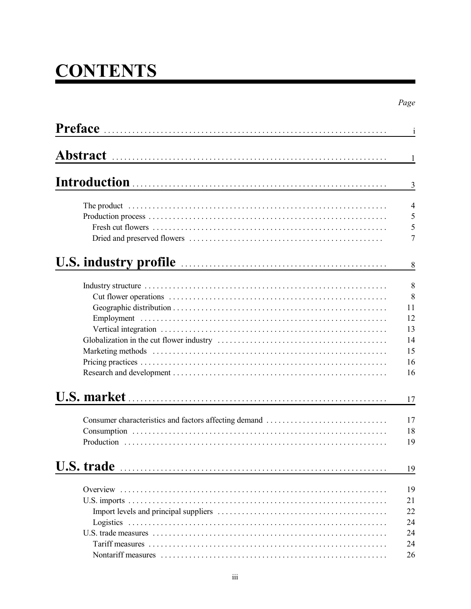# **CONTENTS**

|                                                                                                                                                                                                                                      | $\mathbf{i}$                                     |
|--------------------------------------------------------------------------------------------------------------------------------------------------------------------------------------------------------------------------------------|--------------------------------------------------|
|                                                                                                                                                                                                                                      | -1                                               |
|                                                                                                                                                                                                                                      | 3                                                |
|                                                                                                                                                                                                                                      | $\overline{4}$<br>5<br>5<br>$\overline{7}$       |
| U.S. industry profile <u>contained and the substantial state of the set of the set of the set of the set of the set of the set of the set of the set of the set of the set of the set of the set of the set of the set of the se</u> | 8                                                |
|                                                                                                                                                                                                                                      | 8<br>8<br>11<br>12<br>13<br>14<br>15<br>16<br>16 |
|                                                                                                                                                                                                                                      | 17                                               |
|                                                                                                                                                                                                                                      | 17<br>18<br>19                                   |
| U.S. trade                                                                                                                                                                                                                           | 19                                               |
|                                                                                                                                                                                                                                      | 19<br>21<br>22<br>24<br>24                       |
|                                                                                                                                                                                                                                      | 24<br>26                                         |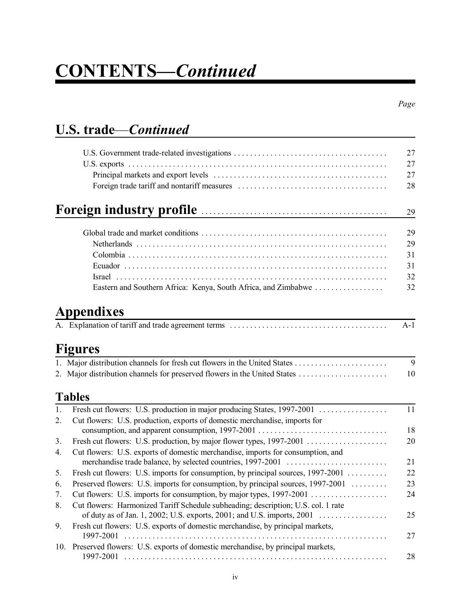# **CONTENTS—***Continued*

# **U.S. trade**—*Continued*

|                                                                                                                                                                                                                                      | 27    |
|--------------------------------------------------------------------------------------------------------------------------------------------------------------------------------------------------------------------------------------|-------|
|                                                                                                                                                                                                                                      | 27    |
|                                                                                                                                                                                                                                      | 27    |
|                                                                                                                                                                                                                                      | 28    |
| Foreign industry profile <b>contains a container and international contains a containing to the containing of the containing of the containing of the containing of the containing of the containing of the containing of the co</b> | 29    |
|                                                                                                                                                                                                                                      | 29    |
|                                                                                                                                                                                                                                      | 29    |
|                                                                                                                                                                                                                                      | 31    |
|                                                                                                                                                                                                                                      | 31    |
| $\boxed{\text{rrael}}$                                                                                                                                                                                                               | 32    |
|                                                                                                                                                                                                                                      | 32    |
| Appendixes                                                                                                                                                                                                                           |       |
|                                                                                                                                                                                                                                      | $A-1$ |
| Figures                                                                                                                                                                                                                              |       |
|                                                                                                                                                                                                                                      | 9     |
| 2. Major distribution channels for preserved flowers in the United States                                                                                                                                                            | 10    |
| <b>Tables</b>                                                                                                                                                                                                                        |       |
| $\mathbf{1}$ .                                                                                                                                                                                                                       | 11    |
| Cut flowers: U.S. production, exports of domestic merchandise, imports for<br>2.                                                                                                                                                     | 18    |
| 3.                                                                                                                                                                                                                                   | 20    |
| Cut flowers: U.S. exports of domestic merchandise, imports for consumption, and                                                                                                                                                      |       |
| 4.                                                                                                                                                                                                                                   | 21    |
| Fresh cut flowers: U.S. imports for consumption, by principal sources, 1997-2001<br>5.                                                                                                                                               | 22    |
| Preserved flowers: U.S. imports for consumption, by principal sources, 1997-2001<br>6.                                                                                                                                               | 23    |
| Cut flowers: U.S. imports for consumption, by major types, 1997-2001<br>7.                                                                                                                                                           | 24    |
| Cut flowers: Harmonized Tariff Schedule subheading; description; U.S. col. 1 rate<br>8.                                                                                                                                              |       |
|                                                                                                                                                                                                                                      |       |
|                                                                                                                                                                                                                                      | 25    |
| Fresh cut flowers: U.S. exports of domestic merchandise, by principal markets,<br>9.<br>1997-2001                                                                                                                                    | 27    |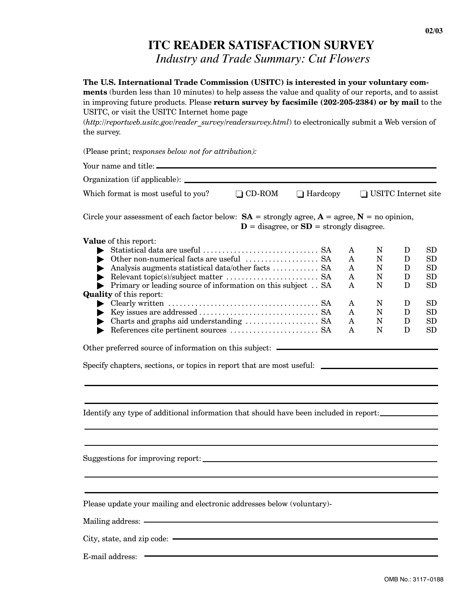# **ITC READER SATISFACTION SURVEY**

*Industry and Trade Summary: Cut Flowers*

| The U.S. International Trade Commission (USITC) is interested in your voluntary com-<br>ments (burden less than 10 minutes) to help assess the value and quality of our reports, and to assist<br>in improving future products. Please return survey by facsimile (202-205-2384) or by mail to the<br>USITC, or visit the USITC Internet home page<br>(http://reportweb.usitc.gov/reader_survey/readersurvey.html) to electronically submit a Web version of<br>the survey.                                                                                                                                      |                                              |                                           |                                           |                                           |                                                           |
|------------------------------------------------------------------------------------------------------------------------------------------------------------------------------------------------------------------------------------------------------------------------------------------------------------------------------------------------------------------------------------------------------------------------------------------------------------------------------------------------------------------------------------------------------------------------------------------------------------------|----------------------------------------------|-------------------------------------------|-------------------------------------------|-------------------------------------------|-----------------------------------------------------------|
| (Please print; responses below not for attribution):                                                                                                                                                                                                                                                                                                                                                                                                                                                                                                                                                             |                                              |                                           |                                           |                                           |                                                           |
|                                                                                                                                                                                                                                                                                                                                                                                                                                                                                                                                                                                                                  |                                              |                                           |                                           |                                           |                                                           |
|                                                                                                                                                                                                                                                                                                                                                                                                                                                                                                                                                                                                                  |                                              |                                           |                                           |                                           |                                                           |
| Which format is most useful to you?<br>$\Box$ CD-ROM                                                                                                                                                                                                                                                                                                                                                                                                                                                                                                                                                             | $\Box$ Hardcopy                              |                                           | □ USITC Internet site                     |                                           |                                                           |
| Circle your assessment of each factor below: $SA =$ strongly agree, $A =$ agree, $N =$ no opinion,                                                                                                                                                                                                                                                                                                                                                                                                                                                                                                               | $D$ = disagree, or $SD$ = strongly disagree. |                                           |                                           |                                           |                                                           |
| Value of this report:<br>Statistical data are useful $\dots\dots\dots\dots\dots\dots\dots\dots$ . SA<br>Analysis augments statistical data/other facts  SA<br>$\blacktriangleright$ .<br>Primary or leading source of information on this subject SA<br><b>Quality</b> of this report:<br>• Clearly written $\dots\dots\dots\dots\dots\dots\dots\dots\dots\dots\dots\dots$ . SA<br>References cite pertinent sources $\dots\dots\dots\dots\dots\dots\dots$ . SA<br>Other preferred source of information on this subject: _____<br>Specify chapters, sections, or topics in report that are most useful: _______ |                                              | A<br>A<br>A<br>A<br>A<br>A<br>A<br>A<br>A | N<br>N<br>N<br>N<br>N<br>N<br>N<br>N<br>N | D<br>D<br>D<br>D<br>D<br>D<br>D<br>D<br>D | SD<br>SD<br>SD<br>SD<br><b>SD</b><br>SD<br>SD<br>SD<br>SD |
| Identify any type of additional information that should have been included in report:                                                                                                                                                                                                                                                                                                                                                                                                                                                                                                                            |                                              |                                           |                                           |                                           |                                                           |
|                                                                                                                                                                                                                                                                                                                                                                                                                                                                                                                                                                                                                  |                                              |                                           |                                           |                                           |                                                           |
| Please update your mailing and electronic addresses below (voluntary)-                                                                                                                                                                                                                                                                                                                                                                                                                                                                                                                                           |                                              |                                           |                                           |                                           |                                                           |
| Mailing address: —                                                                                                                                                                                                                                                                                                                                                                                                                                                                                                                                                                                               |                                              |                                           |                                           |                                           |                                                           |
|                                                                                                                                                                                                                                                                                                                                                                                                                                                                                                                                                                                                                  |                                              |                                           |                                           |                                           |                                                           |
| E-mail address:                                                                                                                                                                                                                                                                                                                                                                                                                                                                                                                                                                                                  |                                              |                                           |                                           |                                           |                                                           |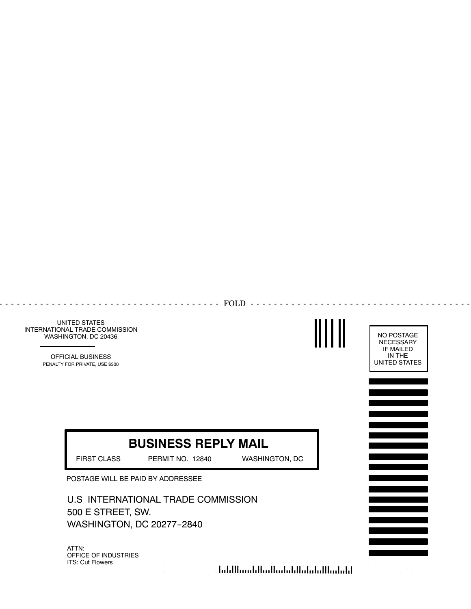UNITED STATES INTERNATIONAL TRADE COMMISSION WASHINGTON, DC 20436

> OFFICIAL BUSINESS PENALTY FOR PRIVATE, USE \$300

# **BUSINESS REPLY MAIL**

........... FOLD -----------

FIRST CLASS PERMIT NO. 12840 WASHINGTON, DC

 $\overline{a}$ 

POSTAGE WILL BE PAID BY ADDRESSEE

U.S INTERNATIONAL TRADE COMMISSION 500 E STREET, SW. WASHINGTON, DC 20277-2840

ATTN: OFFICE OF INDUSTRIES ITS: Cut Flowers

الملمانا المامان المامان بالمماليات بمالياتها



and a state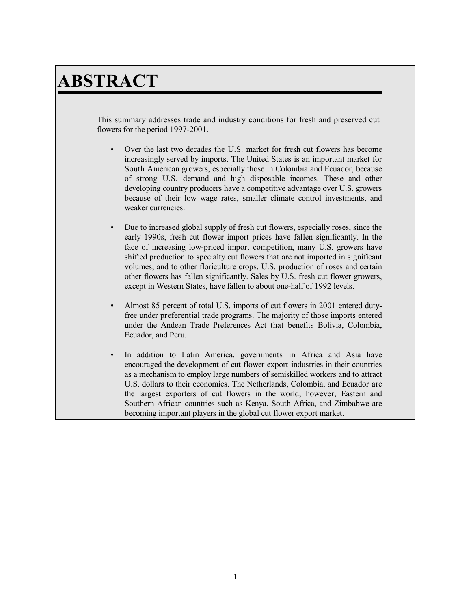# **ABSTRACT**

This summary addresses trade and industry conditions for fresh and preserved cut flowers for the period 1997-2001.

- Over the last two decades the U.S. market for fresh cut flowers has become increasingly served by imports. The United States is an important market for South American growers, especially those in Colombia and Ecuador, because of strong U.S. demand and high disposable incomes. These and other developing country producers have a competitive advantage over U.S. growers because of their low wage rates, smaller climate control investments, and weaker currencies.
- Due to increased global supply of fresh cut flowers, especially roses, since the early 1990s, fresh cut flower import prices have fallen significantly. In the face of increasing low-priced import competition, many U.S. growers have shifted production to specialty cut flowers that are not imported in significant volumes, and to other floriculture crops. U.S. production of roses and certain other flowers has fallen significantly. Sales by U.S. fresh cut flower growers, except in Western States, have fallen to about one-half of 1992 levels.
- Almost 85 percent of total U.S. imports of cut flowers in 2001 entered dutyfree under preferential trade programs. The majority of those imports entered under the Andean Trade Preferences Act that benefits Bolivia, Colombia, Ecuador, and Peru.
- In addition to Latin America, governments in Africa and Asia have encouraged the development of cut flower export industries in their countries as a mechanism to employ large numbers of semiskilled workers and to attract U.S. dollars to their economies. The Netherlands, Colombia, and Ecuador are the largest exporters of cut flowers in the world; however, Eastern and Southern African countries such as Kenya, South Africa, and Zimbabwe are becoming important players in the global cut flower export market.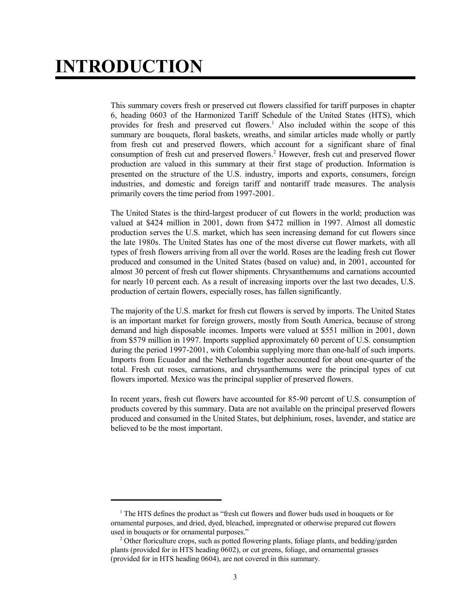# **INTRODUCTION**

This summary covers fresh or preserved cut flowers classified for tariff purposes in chapter 6, heading 0603 of the Harmonized Tariff Schedule of the United States (HTS), which provides for fresh and preserved cut flowers.<sup>1</sup> Also included within the scope of this summary are bouquets, floral baskets, wreaths, and similar articles made wholly or partly from fresh cut and preserved flowers, which account for a significant share of final consumption of fresh cut and preserved flowers.<sup>2</sup> However, fresh cut and preserved flower production are valued in this summary at their first stage of production. Information is presented on the structure of the U.S. industry, imports and exports, consumers, foreign industries, and domestic and foreign tariff and nontariff trade measures. The analysis primarily covers the time period from 1997-2001.

The United States is the third-largest producer of cut flowers in the world; production was valued at \$424 million in 2001, down from \$472 million in 1997. Almost all domestic production serves the U.S. market, which has seen increasing demand for cut flowers since the late 1980s. The United States has one of the most diverse cut flower markets, with all types of fresh flowers arriving from all over the world. Roses are the leading fresh cut flower produced and consumed in the United States (based on value) and, in 2001, accounted for almost 30 percent of fresh cut flower shipments. Chrysanthemums and carnations accounted for nearly 10 percent each. As a result of increasing imports over the last two decades, U.S. production of certain flowers, especially roses, has fallen significantly.

The majority of the U.S. market for fresh cut flowers is served by imports. The United States is an important market for foreign growers, mostly from South America, because of strong demand and high disposable incomes. Imports were valued at \$551 million in 2001, down from \$579 million in 1997. Imports supplied approximately 60 percent of U.S. consumption during the period 1997-2001, with Colombia supplying more than one-half of such imports. Imports from Ecuador and the Netherlands together accounted for about one-quarter of the total. Fresh cut roses, carnations, and chrysanthemums were the principal types of cut flowers imported. Mexico was the principal supplier of preserved flowers.

In recent years, fresh cut flowers have accounted for 85-90 percent of U.S. consumption of products covered by this summary. Data are not available on the principal preserved flowers produced and consumed in the United States, but delphinium, roses, lavender, and statice are believed to be the most important.

<sup>&</sup>lt;sup>1</sup> The HTS defines the product as "fresh cut flowers and flower buds used in bouquets or for ornamental purposes, and dried, dyed, bleached, impregnated or otherwise prepared cut flowers used in bouquets or for ornamental purposes."

<sup>&</sup>lt;sup>2</sup> Other floriculture crops, such as potted flowering plants, foliage plants, and bedding/garden plants (provided for in HTS heading 0602), or cut greens, foliage, and ornamental grasses (provided for in HTS heading 0604), are not covered in this summary.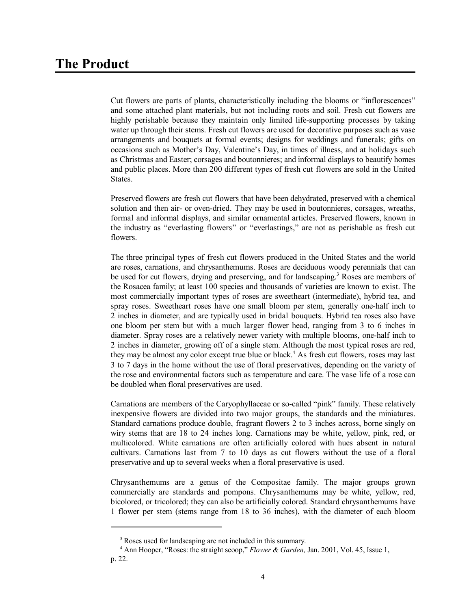Cut flowers are parts of plants, characteristically including the blooms or "inflorescences" and some attached plant materials, but not including roots and soil. Fresh cut flowers are highly perishable because they maintain only limited life-supporting processes by taking water up through their stems. Fresh cut flowers are used for decorative purposes such as vase arrangements and bouquets at formal events; designs for weddings and funerals; gifts on occasions such as Mother's Day, Valentine's Day, in times of illness, and at holidays such as Christmas and Easter; corsages and boutonnieres; and informal displays to beautify homes and public places. More than 200 different types of fresh cut flowers are sold in the United States.

Preserved flowers are fresh cut flowers that have been dehydrated, preserved with a chemical solution and then air- or oven-dried. They may be used in boutonnieres, corsages, wreaths, formal and informal displays, and similar ornamental articles. Preserved flowers, known in the industry as "everlasting flowers" or "everlastings," are not as perishable as fresh cut flowers.

The three principal types of fresh cut flowers produced in the United States and the world are roses, carnations, and chrysanthemums. Roses are deciduous woody perennials that can be used for cut flowers, drying and preserving, and for landscaping.<sup>3</sup> Roses are members of the Rosacea family; at least 100 species and thousands of varieties are known to exist. The most commercially important types of roses are sweetheart (intermediate), hybrid tea, and spray roses. Sweetheart roses have one small bloom per stem, generally one-half inch to 2 inches in diameter, and are typically used in bridal bouquets. Hybrid tea roses also have one bloom per stem but with a much larger flower head, ranging from 3 to 6 inches in diameter. Spray roses are a relatively newer variety with multiple blooms, one-half inch to 2 inches in diameter, growing off of a single stem. Although the most typical roses are red, they may be almost any color except true blue or black.<sup>4</sup> As fresh cut flowers, roses may last 3 to 7 days in the home without the use of floral preservatives, depending on the variety of the rose and environmental factors such as temperature and care. The vase life of a rose can be doubled when floral preservatives are used.

Carnations are members of the Caryophyllaceae or so-called "pink" family. These relatively inexpensive flowers are divided into two major groups, the standards and the miniatures. Standard carnations produce double, fragrant flowers 2 to 3 inches across, borne singly on wiry stems that are 18 to 24 inches long. Carnations may be white, yellow, pink, red, or multicolored. White carnations are often artificially colored with hues absent in natural cultivars. Carnations last from 7 to 10 days as cut flowers without the use of a floral preservative and up to several weeks when a floral preservative is used.

Chrysanthemums are a genus of the Compositae family. The major groups grown commercially are standards and pompons. Chrysanthemums may be white, yellow, red, bicolored, or tricolored; they can also be artificially colored. Standard chrysanthemums have 1 flower per stem (stems range from 18 to 36 inches), with the diameter of each bloom

<sup>&</sup>lt;sup>3</sup> Roses used for landscaping are not included in this summary.

<sup>&</sup>lt;sup>4</sup> Ann Hooper, "Roses: the straight scoop," *Flower & Garden*, Jan. 2001, Vol. 45, Issue 1, p. 22.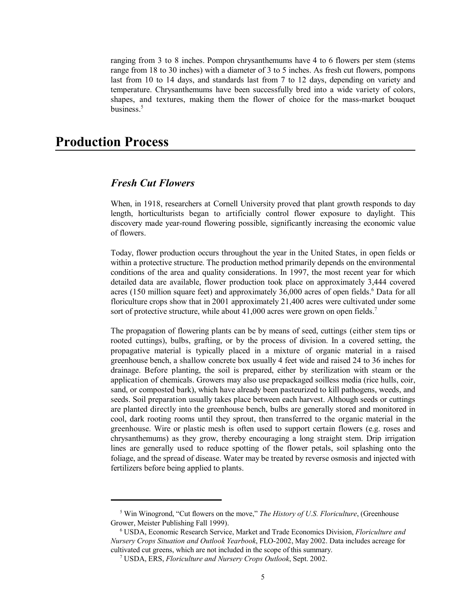ranging from 3 to 8 inches. Pompon chrysanthemums have 4 to 6 flowers per stem (stems range from 18 to 30 inches) with a diameter of 3 to 5 inches. As fresh cut flowers, pompons last from 10 to 14 days, and standards last from 7 to 12 days, depending on variety and temperature. Chrysanthemums have been successfully bred into a wide variety of colors, shapes, and textures, making them the flower of choice for the mass-market bouquet business.<sup>5</sup>

## **Production Process**

## *Fresh Cut Flowers*

When, in 1918, researchers at Cornell University proved that plant growth responds to day length, horticulturists began to artificially control flower exposure to daylight. This discovery made year-round flowering possible, significantly increasing the economic value of flowers.

Today, flower production occurs throughout the year in the United States, in open fields or within a protective structure. The production method primarily depends on the environmental conditions of the area and quality considerations. In 1997, the most recent year for which detailed data are available, flower production took place on approximately 3,444 covered acres (150 million square feet) and approximately 36,000 acres of open fields.<sup>6</sup> Data for all floriculture crops show that in 2001 approximately 21,400 acres were cultivated under some sort of protective structure, while about 41,000 acres were grown on open fields.<sup>7</sup>

The propagation of flowering plants can be by means of seed, cuttings (either stem tips or rooted cuttings), bulbs, grafting, or by the process of division. In a covered setting, the propagative material is typically placed in a mixture of organic material in a raised greenhouse bench, a shallow concrete box usually 4 feet wide and raised 24 to 36 inches for drainage. Before planting, the soil is prepared, either by sterilization with steam or the application of chemicals. Growers may also use prepackaged soilless media (rice hulls, coir, sand, or composted bark), which have already been pasteurized to kill pathogens, weeds, and seeds. Soil preparation usually takes place between each harvest. Although seeds or cuttings are planted directly into the greenhouse bench, bulbs are generally stored and monitored in cool, dark rooting rooms until they sprout, then transferred to the organic material in the greenhouse. Wire or plastic mesh is often used to support certain flowers (e.g. roses and chrysanthemums) as they grow, thereby encouraging a long straight stem. Drip irrigation lines are generally used to reduce spotting of the flower petals, soil splashing onto the foliage, and the spread of disease. Water may be treated by reverse osmosis and injected with fertilizers before being applied to plants.

<sup>&</sup>lt;sup>5</sup> Win Winogrond, "Cut flowers on the move," *The History of U.S. Floriculture*, (Greenhouse Grower, Meister Publishing Fall 1999).

 <sup>6</sup> USDA, Economic Research Service, Market and Trade Economics Division, *Floriculture and Nursery Crops Situation and Outlook Yearbook*, FLO-2002, May 2002. Data includes acreage for cultivated cut greens, which are not included in the scope of this summary.

 <sup>7</sup> USDA, ERS, *Floriculture and Nursery Crops Outlook*, Sept. 2002.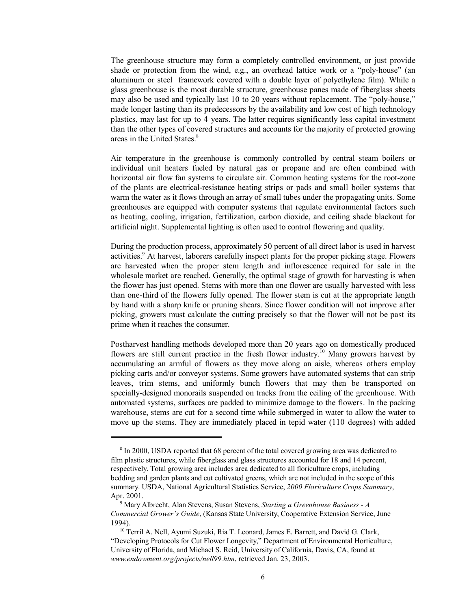The greenhouse structure may form a completely controlled environment, or just provide shade or protection from the wind, e.g., an overhead lattice work or a "poly-house" (an aluminum or steel framework covered with a double layer of polyethylene film). While a glass greenhouse is the most durable structure, greenhouse panes made of fiberglass sheets may also be used and typically last 10 to 20 years without replacement. The "poly-house," made longer lasting than its predecessors by the availability and low cost of high technology plastics, may last for up to 4 years. The latter requires significantly less capital investment than the other types of covered structures and accounts for the majority of protected growing areas in the United States.<sup>8</sup>

Air temperature in the greenhouse is commonly controlled by central steam boilers or individual unit heaters fueled by natural gas or propane and are often combined with horizontal air flow fan systems to circulate air. Common heating systems for the root-zone of the plants are electrical-resistance heating strips or pads and small boiler systems that warm the water as it flows through an array of small tubes under the propagating units. Some greenhouses are equipped with computer systems that regulate environmental factors such as heating, cooling, irrigation, fertilization, carbon dioxide, and ceiling shade blackout for artificial night. Supplemental lighting is often used to control flowering and quality.

During the production process, approximately 50 percent of all direct labor is used in harvest activities.<sup>9</sup> At harvest, laborers carefully inspect plants for the proper picking stage. Flowers are harvested when the proper stem length and inflorescence required for sale in the wholesale market are reached. Generally, the optimal stage of growth for harvesting is when the flower has just opened. Stems with more than one flower are usually harvested with less than one-third of the flowers fully opened. The flower stem is cut at the appropriate length by hand with a sharp knife or pruning shears. Since flower condition will not improve after picking, growers must calculate the cutting precisely so that the flower will not be past its prime when it reaches the consumer.

Postharvest handling methods developed more than 20 years ago on domestically produced flowers are still current practice in the fresh flower industry.<sup>10</sup> Many growers harvest by accumulating an armful of flowers as they move along an aisle, whereas others employ picking carts and/or conveyor systems. Some growers have automated systems that can strip leaves, trim stems, and uniformly bunch flowers that may then be transported on specially-designed monorails suspended on tracks from the ceiling of the greenhouse. With automated systems, surfaces are padded to minimize damage to the flowers. In the packing warehouse, stems are cut for a second time while submerged in water to allow the water to move up the stems. They are immediately placed in tepid water (110 degrees) with added

<sup>&</sup>lt;sup>8</sup> In 2000, USDA reported that 68 percent of the total covered growing area was dedicated to film plastic structures, while fiberglass and glass structures accounted for 18 and 14 percent, respectively. Total growing area includes area dedicated to all floriculture crops, including bedding and garden plants and cut cultivated greens, which are not included in the scope of this summary. USDA, National Agricultural Statistics Service, *2000 Floriculture Crops Summary*, Apr. 2001.

 <sup>9</sup> Mary Albrecht, Alan Stevens, Susan Stevens, *Starting a Greenhouse Business - A Commercial Grower's Guide*, (Kansas State University, Cooperative Extension Service, June 1994).

<sup>&</sup>lt;sup>10</sup> Terril A. Nell, Ayumi Suzuki, Ria T. Leonard, James E. Barrett, and David G. Clark, "Developing Protocols for Cut Flower Longevity," Department of Environmental Horticulture, University of Florida, and Michael S. Reid, University of California, Davis, CA, found at *www.endowment.org/projects/nell99.htm*, retrieved Jan. 23, 2003.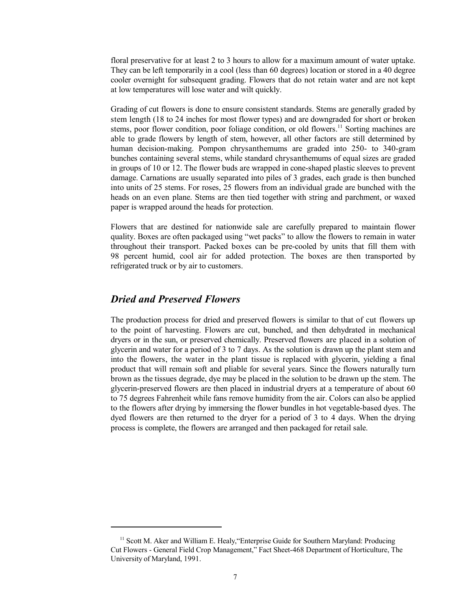floral preservative for at least 2 to 3 hours to allow for a maximum amount of water uptake. They can be left temporarily in a cool (less than 60 degrees) location or stored in a 40 degree cooler overnight for subsequent grading. Flowers that do not retain water and are not kept at low temperatures will lose water and wilt quickly.

Grading of cut flowers is done to ensure consistent standards. Stems are generally graded by stem length (18 to 24 inches for most flower types) and are downgraded for short or broken stems, poor flower condition, poor foliage condition, or old flowers.<sup>11</sup> Sorting machines are able to grade flowers by length of stem, however, all other factors are still determined by human decision-making. Pompon chrysanthemums are graded into 250- to 340-gram bunches containing several stems, while standard chrysanthemums of equal sizes are graded in groups of 10 or 12. The flower buds are wrapped in cone-shaped plastic sleeves to prevent damage. Carnations are usually separated into piles of 3 grades, each grade is then bunched into units of 25 stems. For roses, 25 flowers from an individual grade are bunched with the heads on an even plane. Stems are then tied together with string and parchment, or waxed paper is wrapped around the heads for protection.

Flowers that are destined for nationwide sale are carefully prepared to maintain flower quality. Boxes are often packaged using "wet packs" to allow the flowers to remain in water throughout their transport. Packed boxes can be pre-cooled by units that fill them with 98 percent humid, cool air for added protection. The boxes are then transported by refrigerated truck or by air to customers.

## *Dried and Preserved Flowers*

The production process for dried and preserved flowers is similar to that of cut flowers up to the point of harvesting. Flowers are cut, bunched, and then dehydrated in mechanical dryers or in the sun, or preserved chemically. Preserved flowers are placed in a solution of glycerin and water for a period of 3 to 7 days. As the solution is drawn up the plant stem and into the flowers, the water in the plant tissue is replaced with glycerin, yielding a final product that will remain soft and pliable for several years. Since the flowers naturally turn brown as the tissues degrade, dye may be placed in the solution to be drawn up the stem. The glycerin-preserved flowers are then placed in industrial dryers at a temperature of about 60 to 75 degrees Fahrenheit while fans remove humidity from the air. Colors can also be applied to the flowers after drying by immersing the flower bundles in hot vegetable-based dyes. The dyed flowers are then returned to the dryer for a period of 3 to 4 days. When the drying process is complete, the flowers are arranged and then packaged for retail sale.

<sup>&</sup>lt;sup>11</sup> Scott M. Aker and William E. Healy, "Enterprise Guide for Southern Maryland: Producing Cut Flowers - General Field Crop Management," Fact Sheet-468 Department of Horticulture, The University of Maryland, 1991.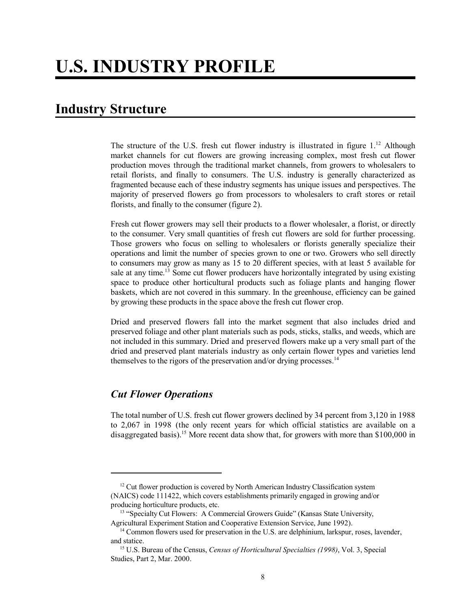## **Industry Structure**

The structure of the U.S. fresh cut flower industry is illustrated in figure  $1^{12}$ . Although market channels for cut flowers are growing increasing complex, most fresh cut flower production moves through the traditional market channels, from growers to wholesalers to retail florists, and finally to consumers. The U.S. industry is generally characterized as fragmented because each of these industry segments has unique issues and perspectives. The majority of preserved flowers go from processors to wholesalers to craft stores or retail florists, and finally to the consumer (figure 2).

Fresh cut flower growers may sell their products to a flower wholesaler, a florist, or directly to the consumer. Very small quantities of fresh cut flowers are sold for further processing. Those growers who focus on selling to wholesalers or florists generally specialize their operations and limit the number of species grown to one or two. Growers who sell directly to consumers may grow as many as 15 to 20 different species, with at least 5 available for sale at any time.<sup>13</sup> Some cut flower producers have horizontally integrated by using existing space to produce other horticultural products such as foliage plants and hanging flower baskets, which are not covered in this summary. In the greenhouse, efficiency can be gained by growing these products in the space above the fresh cut flower crop.

Dried and preserved flowers fall into the market segment that also includes dried and preserved foliage and other plant materials such as pods, sticks, stalks, and weeds, which are not included in this summary. Dried and preserved flowers make up a very small part of the dried and preserved plant materials industry as only certain flower types and varieties lend themselves to the rigors of the preservation and/or drying processes.<sup>14</sup>

## *Cut Flower Operations*

The total number of U.S. fresh cut flower growers declined by 34 percent from 3,120 in 1988 to 2,067 in 1998 (the only recent years for which official statistics are available on a disaggregated basis).<sup>15</sup> More recent data show that, for growers with more than \$100,000 in

 $12$  Cut flower production is covered by North American Industry Classification system (NAICS) code 111422, which covers establishments primarily engaged in growing and/or producing horticulture products, etc.

<sup>&</sup>lt;sup>13</sup> "Specialty Cut Flowers: A Commercial Growers Guide" (Kansas State University, Agricultural Experiment Station and Cooperative Extension Service, June 1992).

<sup>&</sup>lt;sup>14</sup> Common flowers used for preservation in the U.S. are delphinium, larkspur, roses, lavender, and statice.

 <sup>15</sup> U.S. Bureau of the Census, *Census of Horticultural Specialties (1998)*, Vol. 3, Special Studies, Part 2, Mar. 2000.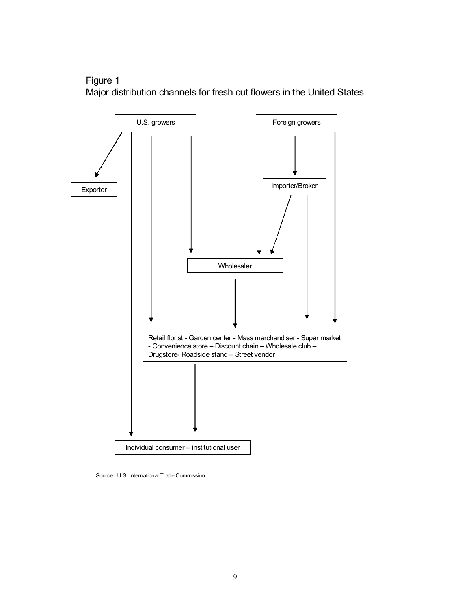



Source: U.S. International Trade Commission.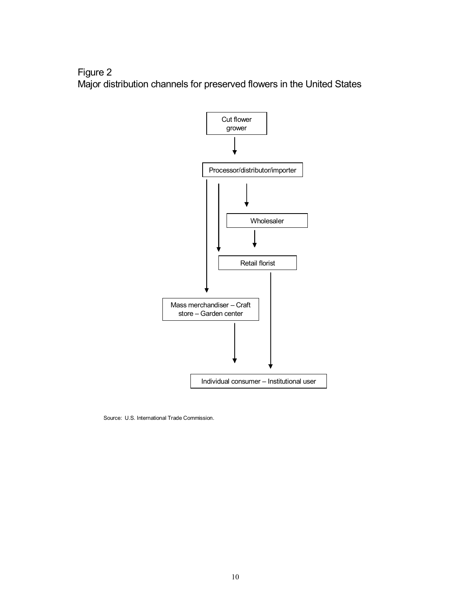Figure 2 Major distribution channels for preserved flowers in the United States



Source: U.S. International Trade Commission.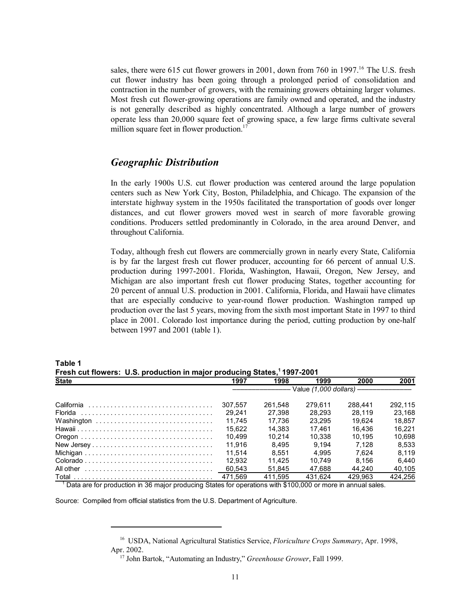sales, there were 615 cut flower growers in 2001, down from 760 in 1997.<sup>16</sup> The U.S. fresh cut flower industry has been going through a prolonged period of consolidation and contraction in the number of growers, with the remaining growers obtaining larger volumes. Most fresh cut flower-growing operations are family owned and operated, and the industry is not generally described as highly concentrated. Although a large number of growers operate less than 20,000 square feet of growing space, a few large firms cultivate several million square feet in flower production.<sup>17</sup>

#### *Geographic Distribution*

In the early 1900s U.S. cut flower production was centered around the large population centers such as New York City, Boston, Philadelphia, and Chicago. The expansion of the interstate highway system in the 1950s facilitated the transportation of goods over longer distances, and cut flower growers moved west in search of more favorable growing conditions. Producers settled predominantly in Colorado, in the area around Denver, and throughout California.

Today, although fresh cut flowers are commercially grown in nearly every State, California is by far the largest fresh cut flower producer, accounting for 66 percent of annual U.S. production during 1997-2001. Florida, Washington, Hawaii, Oregon, New Jersey, and Michigan are also important fresh cut flower producing States, together accounting for 20 percent of annual U.S. production in 2001. California, Florida, and Hawaii have climates that are especially conducive to year-round flower production. Washington ramped up production over the last 5 years, moving from the sixth most important State in 1997 to third place in 2001. Colorado lost importance during the period, cutting production by one-half between 1997 and 2001 (table 1).

| Fresh cut nowers. O.S. production in major producing States, 1997-2001 |         |         |         |                                                                                  |         |  |
|------------------------------------------------------------------------|---------|---------|---------|----------------------------------------------------------------------------------|---------|--|
| <b>State</b>                                                           | 1997    | 1998    | 1999    | 2000                                                                             | 2001    |  |
|                                                                        |         |         |         | ------------------------- Value (1,000 dollars) -------------------------------- |         |  |
|                                                                        | 307.557 | 261.548 | 279.611 | 288.441                                                                          | 292.115 |  |
|                                                                        | 29.241  | 27.398  | 28.293  | 28.119                                                                           | 23.168  |  |
| Washington                                                             | 11.745  | 17.736  | 23.295  | 19.624                                                                           | 18.857  |  |
|                                                                        | 15.622  | 14.383  | 17.461  | 16.436                                                                           | 16.221  |  |
|                                                                        | 10.499  | 10.214  | 10.338  | 10.195                                                                           | 10.698  |  |
| New Jersey                                                             | 11.916  | 8.495   | 9.194   | 7.128                                                                            | 8.533   |  |
|                                                                        | 11.514  | 8.551   | 4.995   | 7.624                                                                            | 8.119   |  |
|                                                                        | 12.932  | 11.425  | 10.749  | 8.156                                                                            | 6.440   |  |
|                                                                        | 60.543  | 51.845  | 47.688  | 44.240                                                                           | 40.105  |  |
|                                                                        | 471.569 | 411.595 | 431.624 | 429.963                                                                          | 424.256 |  |

**Table 1 Fresh cut flowers: U.S. production in major producing States,1 1997-2001**

1 Data are for production in 36 major producing States for operations with \$100,000 or more in annual sales.

Source: Compiled from official statistics from the U.S. Department of Agriculture.

 <sup>16</sup> USDA, National Agricultural Statistics Service, *Floriculture Crops Summary*, Apr. 1998, Apr. 2002.

 <sup>17</sup> John Bartok, "Automating an Industry," *Greenhouse Grower*, Fall 1999.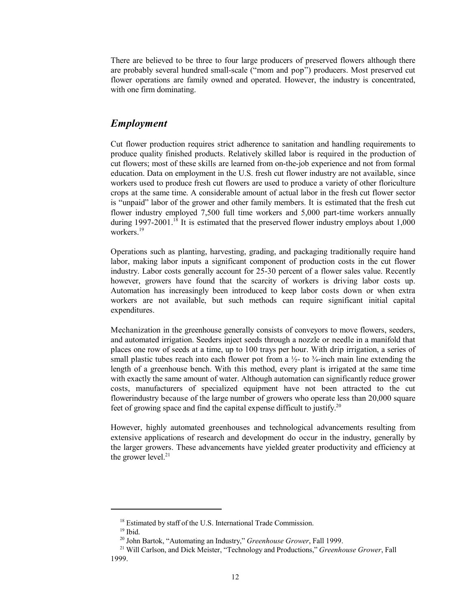There are believed to be three to four large producers of preserved flowers although there are probably several hundred small-scale ("mom and pop") producers. Most preserved cut flower operations are family owned and operated. However, the industry is concentrated, with one firm dominating.

## *Employment*

Cut flower production requires strict adherence to sanitation and handling requirements to produce quality finished products. Relatively skilled labor is required in the production of cut flowers; most of these skills are learned from on-the-job experience and not from formal education. Data on employment in the U.S. fresh cut flower industry are not available, since workers used to produce fresh cut flowers are used to produce a variety of other floriculture crops at the same time. A considerable amount of actual labor in the fresh cut flower sector is "unpaid" labor of the grower and other family members. It is estimated that the fresh cut flower industry employed 7,500 full time workers and 5,000 part-time workers annually during  $1997-2001$ .<sup>18</sup> It is estimated that the preserved flower industry employs about  $1,000$ workers<sup>19</sup>

Operations such as planting, harvesting, grading, and packaging traditionally require hand labor, making labor inputs a significant component of production costs in the cut flower industry. Labor costs generally account for 25-30 percent of a flower sales value. Recently however, growers have found that the scarcity of workers is driving labor costs up. Automation has increasingly been introduced to keep labor costs down or when extra workers are not available, but such methods can require significant initial capital expenditures.

Mechanization in the greenhouse generally consists of conveyors to move flowers, seeders, and automated irrigation. Seeders inject seeds through a nozzle or needle in a manifold that places one row of seeds at a time, up to 100 trays per hour. With drip irrigation, a series of small plastic tubes reach into each flower pot from a  $\frac{1}{2}$ - to  $\frac{3}{4}$ -inch main line extending the length of a greenhouse bench. With this method, every plant is irrigated at the same time with exactly the same amount of water. Although automation can significantly reduce grower costs, manufacturers of specialized equipment have not been attracted to the cut flowerindustry because of the large number of growers who operate less than 20,000 square feet of growing space and find the capital expense difficult to justify.<sup>20</sup>

However, highly automated greenhouses and technological advancements resulting from extensive applications of research and development do occur in the industry, generally by the larger growers. These advancements have yielded greater productivity and efficiency at the grower level.<sup>21</sup>

<sup>&</sup>lt;sup>18</sup> Estimated by staff of the U.S. International Trade Commission.

 $19$  Ibid.

 <sup>20</sup> John Bartok, "Automating an Industry," *Greenhouse Grower*, Fall 1999.

 <sup>21</sup> Will Carlson, and Dick Meister, "Technology and Productions," *Greenhouse Grower*, Fall 1999.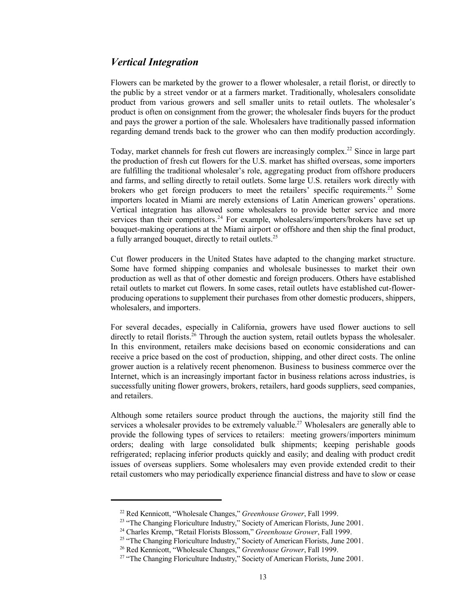## *Vertical Integration*

Flowers can be marketed by the grower to a flower wholesaler, a retail florist, or directly to the public by a street vendor or at a farmers market. Traditionally, wholesalers consolidate product from various growers and sell smaller units to retail outlets. The wholesaler's product is often on consignment from the grower; the wholesaler finds buyers for the product and pays the grower a portion of the sale. Wholesalers have traditionally passed information regarding demand trends back to the grower who can then modify production accordingly.

Today, market channels for fresh cut flowers are increasingly complex.<sup>22</sup> Since in large part the production of fresh cut flowers for the U.S. market has shifted overseas, some importers are fulfilling the traditional wholesaler's role, aggregating product from offshore producers and farms, and selling directly to retail outlets. Some large U.S. retailers work directly with brokers who get foreign producers to meet the retailers' specific requirements.<sup>23</sup> Some importers located in Miami are merely extensions of Latin American growers' operations. Vertical integration has allowed some wholesalers to provide better service and more services than their competitors.<sup>24</sup> For example, wholesalers/importers/brokers have set up bouquet-making operations at the Miami airport or offshore and then ship the final product, a fully arranged bouquet, directly to retail outlets.<sup>25</sup>

Cut flower producers in the United States have adapted to the changing market structure. Some have formed shipping companies and wholesale businesses to market their own production as well as that of other domestic and foreign producers. Others have established retail outlets to market cut flowers. In some cases, retail outlets have established cut-flowerproducing operations to supplement their purchases from other domestic producers, shippers, wholesalers, and importers.

For several decades, especially in California, growers have used flower auctions to sell directly to retail florists.<sup>26</sup> Through the auction system, retail outlets bypass the wholesaler. In this environment, retailers make decisions based on economic considerations and can receive a price based on the cost of production, shipping, and other direct costs. The online grower auction is a relatively recent phenomenon. Business to business commerce over the Internet, which is an increasingly important factor in business relations across industries, is successfully uniting flower growers, brokers, retailers, hard goods suppliers, seed companies, and retailers.

Although some retailers source product through the auctions, the majority still find the services a wholesaler provides to be extremely valuable.<sup>27</sup> Wholesalers are generally able to provide the following types of services to retailers: meeting growers/importers minimum orders; dealing with large consolidated bulk shipments; keeping perishable goods refrigerated; replacing inferior products quickly and easily; and dealing with product credit issues of overseas suppliers. Some wholesalers may even provide extended credit to their retail customers who may periodically experience financial distress and have to slow or cease

 <sup>22</sup> Red Kennicott, "Wholesale Changes," *Greenhouse Grower*, Fall 1999.

<sup>&</sup>lt;sup>23</sup> "The Changing Floriculture Industry," Society of American Florists, June 2001.

 <sup>24</sup> Charles Kremp, "Retail Florists Blossom," *Greenhouse Grower*, Fall 1999.

<sup>&</sup>lt;sup>25</sup> "The Changing Floriculture Industry," Society of American Florists, June 2001.

 <sup>26</sup> Red Kennicott, "Wholesale Changes," *Greenhouse Grower*, Fall 1999.

<sup>&</sup>lt;sup>27</sup> "The Changing Floriculture Industry," Society of American Florists, June 2001.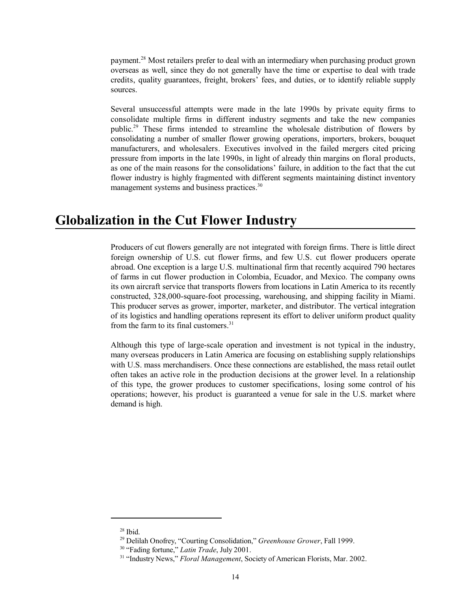payment.<sup>28</sup> Most retailers prefer to deal with an intermediary when purchasing product grown overseas as well, since they do not generally have the time or expertise to deal with trade credits, quality guarantees, freight, brokers' fees, and duties, or to identify reliable supply sources.

Several unsuccessful attempts were made in the late 1990s by private equity firms to consolidate multiple firms in different industry segments and take the new companies public.29 These firms intended to streamline the wholesale distribution of flowers by consolidating a number of smaller flower growing operations, importers, brokers, bouquet manufacturers, and wholesalers. Executives involved in the failed mergers cited pricing pressure from imports in the late 1990s, in light of already thin margins on floral products, as one of the main reasons for the consolidations' failure, in addition to the fact that the cut flower industry is highly fragmented with different segments maintaining distinct inventory management systems and business practices.<sup>30</sup>

## **Globalization in the Cut Flower Industry**

Producers of cut flowers generally are not integrated with foreign firms. There is little direct foreign ownership of U.S. cut flower firms, and few U.S. cut flower producers operate abroad. One exception is a large U.S. multinational firm that recently acquired 790 hectares of farms in cut flower production in Colombia, Ecuador, and Mexico. The company owns its own aircraft service that transports flowers from locations in Latin America to its recently constructed, 328,000-square-foot processing, warehousing, and shipping facility in Miami. This producer serves as grower, importer, marketer, and distributor. The vertical integration of its logistics and handling operations represent its effort to deliver uniform product quality from the farm to its final customers. $31$ 

Although this type of large-scale operation and investment is not typical in the industry, many overseas producers in Latin America are focusing on establishing supply relationships with U.S. mass merchandisers. Once these connections are established, the mass retail outlet often takes an active role in the production decisions at the grower level. In a relationship of this type, the grower produces to customer specifications, losing some control of his operations; however, his product is guaranteed a venue for sale in the U.S. market where demand is high.

 <sup>28</sup> Ibid.

 <sup>29</sup> Delilah Onofrey, "Courting Consolidation," *Greenhouse Grower*, Fall 1999.

 <sup>30 &</sup>quot;Fading fortune," *Latin Trade*, July 2001.

<sup>&</sup>lt;sup>31</sup> "Industry News," *Floral Management*, Society of American Florists, Mar. 2002.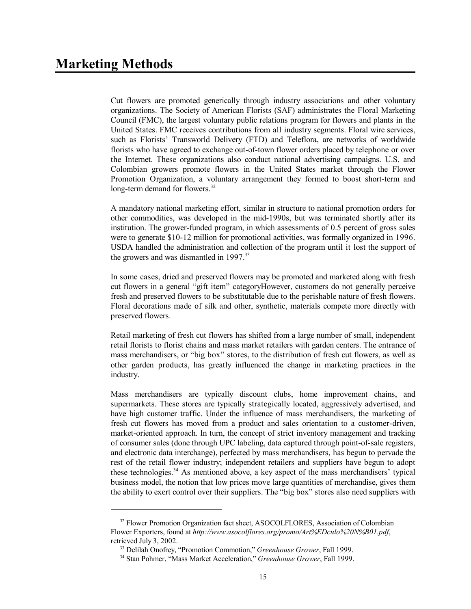Cut flowers are promoted generically through industry associations and other voluntary organizations. The Society of American Florists (SAF) administrates the Floral Marketing Council (FMC), the largest voluntary public relations program for flowers and plants in the United States. FMC receives contributions from all industry segments. Floral wire services, such as Florists' Transworld Delivery (FTD) and Teleflora, are networks of worldwide florists who have agreed to exchange out-of-town flower orders placed by telephone or over the Internet. These organizations also conduct national advertising campaigns. U.S. and Colombian growers promote flowers in the United States market through the Flower Promotion Organization, a voluntary arrangement they formed to boost short-term and long-term demand for flowers.<sup>32</sup>

A mandatory national marketing effort, similar in structure to national promotion orders for other commodities, was developed in the mid-1990s, but was terminated shortly after its institution. The grower-funded program, in which assessments of 0.5 percent of gross sales were to generate \$10-12 million for promotional activities, was formally organized in 1996. USDA handled the administration and collection of the program until it lost the support of the growers and was dismantled in 1997.<sup>33</sup>

In some cases, dried and preserved flowers may be promoted and marketed along with fresh cut flowers in a general "gift item" categoryHowever, customers do not generally perceive fresh and preserved flowers to be substitutable due to the perishable nature of fresh flowers. Floral decorations made of silk and other, synthetic, materials compete more directly with preserved flowers.

Retail marketing of fresh cut flowers has shifted from a large number of small, independent retail florists to florist chains and mass market retailers with garden centers. The entrance of mass merchandisers, or "big box" stores, to the distribution of fresh cut flowers, as well as other garden products, has greatly influenced the change in marketing practices in the industry.

Mass merchandisers are typically discount clubs, home improvement chains, and supermarkets. These stores are typically strategically located, aggressively advertised, and have high customer traffic. Under the influence of mass merchandisers, the marketing of fresh cut flowers has moved from a product and sales orientation to a customer-driven, market-oriented approach. In turn, the concept of strict inventory management and tracking of consumer sales (done through UPC labeling, data captured through point-of-sale registers, and electronic data interchange), perfected by mass merchandisers, has begun to pervade the rest of the retail flower industry; independent retailers and suppliers have begun to adopt these technologies.<sup>34</sup> As mentioned above, a key aspect of the mass merchandisers' typical business model, the notion that low prices move large quantities of merchandise, gives them the ability to exert control over their suppliers. The "big box" stores also need suppliers with

<sup>&</sup>lt;sup>32</sup> Flower Promotion Organization fact sheet, ASOCOLFLORES, Association of Colombian Flower Exporters, found at *http://www.asocolflores.org/promo/Art%EDculo%20N%B01.pdf*, retrieved July 3, 2002.

 <sup>33</sup> Delilah Onofrey, "Promotion Commotion," *Greenhouse Grower*, Fall 1999.

 <sup>34</sup> Stan Pohmer, "Mass Market Acceleration," *Greenhouse Grower*, Fall 1999.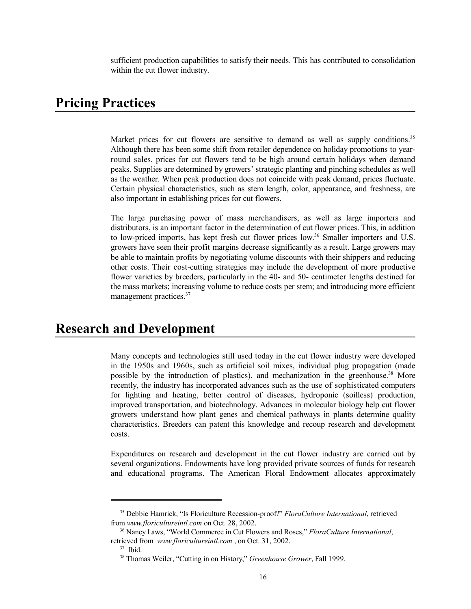sufficient production capabilities to satisfy their needs. This has contributed to consolidation within the cut flower industry.

## **Pricing Practices**

Market prices for cut flowers are sensitive to demand as well as supply conditions.<sup>35</sup> Although there has been some shift from retailer dependence on holiday promotions to yearround sales, prices for cut flowers tend to be high around certain holidays when demand peaks. Supplies are determined by growers' strategic planting and pinching schedules as well as the weather. When peak production does not coincide with peak demand, prices fluctuate. Certain physical characteristics, such as stem length, color, appearance, and freshness, are also important in establishing prices for cut flowers.

The large purchasing power of mass merchandisers, as well as large importers and distributors, is an important factor in the determination of cut flower prices. This, in addition to low-priced imports, has kept fresh cut flower prices low.<sup>36</sup> Smaller importers and U.S. growers have seen their profit margins decrease significantly as a result. Large growers may be able to maintain profits by negotiating volume discounts with their shippers and reducing other costs. Their cost-cutting strategies may include the development of more productive flower varieties by breeders, particularly in the 40- and 50- centimeter lengths destined for the mass markets; increasing volume to reduce costs per stem; and introducing more efficient management practices.<sup>37</sup>

## **Research and Development**

Many concepts and technologies still used today in the cut flower industry were developed in the 1950s and 1960s, such as artificial soil mixes, individual plug propagation (made possible by the introduction of plastics), and mechanization in the greenhouse.<sup>38</sup> More recently, the industry has incorporated advances such as the use of sophisticated computers for lighting and heating, better control of diseases, hydroponic (soilless) production, improved transportation, and biotechnology. Advances in molecular biology help cut flower growers understand how plant genes and chemical pathways in plants determine quality characteristics. Breeders can patent this knowledge and recoup research and development costs.

Expenditures on research and development in the cut flower industry are carried out by several organizations. Endowments have long provided private sources of funds for research and educational programs. The American Floral Endowment allocates approximately

 <sup>35</sup> Debbie Hamrick, "Is Floriculture Recession-proof?" *FloraCulture International*, retrieved from *www.floricultureintl.com* on Oct. 28, 2002.

 <sup>36</sup> Nancy Laws, "World Commerce in Cut Flowers and Roses," *FloraCulture International*, retrieved from *www.floricultureintl.com* , on Oct. 31, 2002.

 <sup>37</sup> Ibid.

 <sup>38</sup> Thomas Weiler, "Cutting in on History," *Greenhouse Grower*, Fall 1999.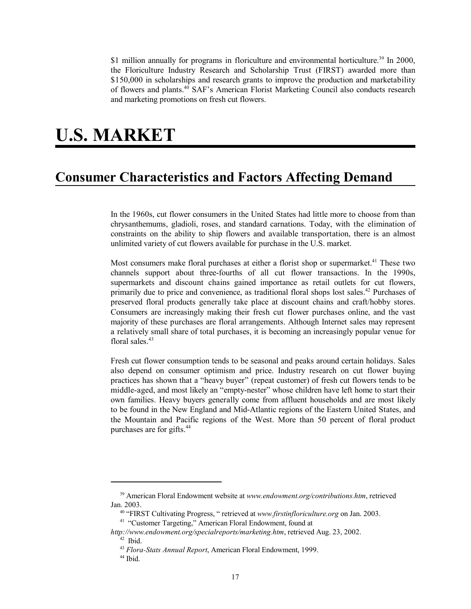\$1 million annually for programs in floriculture and environmental horticulture.<sup>39</sup> In 2000, the Floriculture Industry Research and Scholarship Trust (FIRST) awarded more than \$150,000 in scholarships and research grants to improve the production and marketability of flowers and plants.40 SAF's American Florist Marketing Council also conducts research and marketing promotions on fresh cut flowers.

# **U.S. MARKET**

## **Consumer Characteristics and Factors Affecting Demand**

In the 1960s, cut flower consumers in the United States had little more to choose from than chrysanthemums, gladioli, roses, and standard carnations. Today, with the elimination of constraints on the ability to ship flowers and available transportation, there is an almost unlimited variety of cut flowers available for purchase in the U.S. market.

Most consumers make floral purchases at either a florist shop or supermarket.<sup>41</sup> These two channels support about three-fourths of all cut flower transactions. In the 1990s, supermarkets and discount chains gained importance as retail outlets for cut flowers, primarily due to price and convenience, as traditional floral shops lost sales.<sup>42</sup> Purchases of preserved floral products generally take place at discount chains and craft/hobby stores. Consumers are increasingly making their fresh cut flower purchases online, and the vast majority of these purchases are floral arrangements. Although Internet sales may represent a relatively small share of total purchases, it is becoming an increasingly popular venue for floral sales.<sup>43</sup>

Fresh cut flower consumption tends to be seasonal and peaks around certain holidays. Sales also depend on consumer optimism and price. Industry research on cut flower buying practices has shown that a "heavy buyer" (repeat customer) of fresh cut flowers tends to be middle-aged, and most likely an "empty-nester" whose children have left home to start their own families. Heavy buyers generally come from affluent households and are most likely to be found in the New England and Mid-Atlantic regions of the Eastern United States, and the Mountain and Pacific regions of the West. More than 50 percent of floral product purchases are for gifts.44

 <sup>39</sup> American Floral Endowment website at *www.endowment.org/contributions.htm*, retrieved Jan. 2003.

 <sup>40 &</sup>quot;FIRST Cultivating Progress, " retrieved at *www.firstinfloriculture.org* on Jan. 2003.

<sup>&</sup>lt;sup>41</sup> "Customer Targeting," American Floral Endowment, found at

*http://www.endowment.org/specialreports/marketing.htm*, retrieved Aug. 23, 2002.  $42$  Ibid.

 <sup>43</sup> *Flora-Stats Annual Report*, American Floral Endowment, 1999.

 <sup>44</sup> Ibid.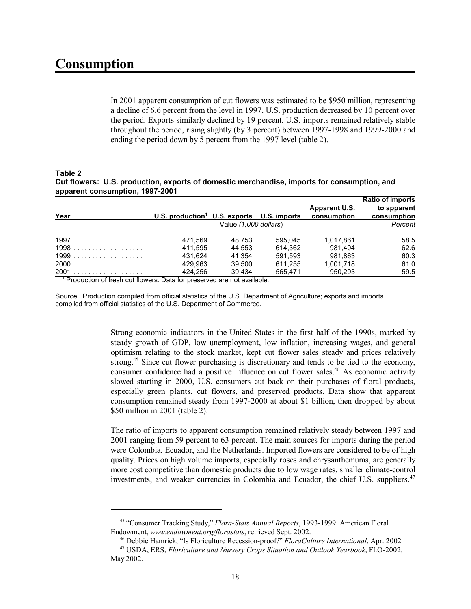In 2001 apparent consumption of cut flowers was estimated to be \$950 million, representing a decline of 6.6 percent from the level in 1997. U.S. production decreased by 10 percent over the period. Exports similarly declined by 19 percent. U.S. imports remained relatively stable throughout the period, rising slightly (by 3 percent) between 1997-1998 and 1999-2000 and ending the period down by 5 percent from the 1997 level (table 2).

#### **Table 2 Cut flowers: U.S. production, exports of domestic merchandise, imports for consumption, and apparent consumption, 1997-2001**

|        |                                                        |        |                                                        |                                     | <b>Ratio of imports</b>    |
|--------|--------------------------------------------------------|--------|--------------------------------------------------------|-------------------------------------|----------------------------|
| Year   | U.S. production <sup>1</sup> U.S. exports U.S. imports |        |                                                        | <b>Apparent U.S.</b><br>consumption | to apparent<br>consumption |
|        |                                                        |        | - Value <i>(1,000 dollars</i> ) ---------------------- |                                     | Percent                    |
| 1997   | 471.569                                                | 48.753 | 595.045                                                | 1.017.861                           | 58.5                       |
| 1998   | 411.595                                                | 44.553 | 614.362                                                | 981.404                             | 62.6                       |
|        | 431.624                                                | 41.354 | 591.593                                                | 981.863                             | 60.3                       |
| $2000$ | 429.963                                                | 39.500 | 611.255                                                | 1.001.718                           | 61.0                       |
|        | 424.256<br>- -                                         | 39.434 | 565.471                                                | 950.293                             | 59.5                       |

<sup>1</sup> Production of fresh cut flowers. Data for preserved are not available.

Source: Production compiled from official statistics of the U.S. Department of Agriculture; exports and imports compiled from official statistics of the U.S. Department of Commerce.

> Strong economic indicators in the United States in the first half of the 1990s, marked by steady growth of GDP, low unemployment, low inflation, increasing wages, and general optimism relating to the stock market, kept cut flower sales steady and prices relatively strong.<sup>45</sup> Since cut flower purchasing is discretionary and tends to be tied to the economy, consumer confidence had a positive influence on cut flower sales.46 As economic activity slowed starting in 2000, U.S. consumers cut back on their purchases of floral products, especially green plants, cut flowers, and preserved products. Data show that apparent consumption remained steady from 1997-2000 at about \$1 billion, then dropped by about \$50 million in 2001 (table 2).

> The ratio of imports to apparent consumption remained relatively steady between 1997 and 2001 ranging from 59 percent to 63 percent. The main sources for imports during the period were Colombia, Ecuador, and the Netherlands. Imported flowers are considered to be of high quality. Prices on high volume imports, especially roses and chrysanthemums, are generally more cost competitive than domestic products due to low wage rates, smaller climate-control investments, and weaker currencies in Colombia and Ecuador, the chief U.S. suppliers.<sup>47</sup>

 <sup>45 &</sup>quot;Consumer Tracking Study," *Flora-Stats Annual Reports*, 1993-1999. American Floral Endowment, *www.endowment.org/florastats*, retrieved Sept. 2002.

 <sup>46</sup> Debbie Hamrick, "Is Floriculture Recession-proof?" *FloraCulture International*, Apr. 2002 47 USDA, ERS, *Floriculture and Nursery Crops Situation and Outlook Yearbook*, FLO-2002, May 2002.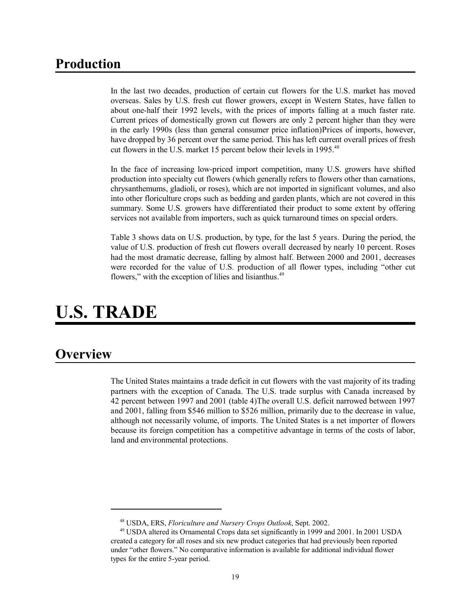## **Production**

In the last two decades, production of certain cut flowers for the U.S. market has moved overseas. Sales by U.S. fresh cut flower growers, except in Western States, have fallen to about one-half their 1992 levels, with the prices of imports falling at a much faster rate. Current prices of domestically grown cut flowers are only 2 percent higher than they were in the early 1990s (less than general consumer price inflation)Prices of imports, however, have dropped by 36 percent over the same period. This has left current overall prices of fresh cut flowers in the U.S. market 15 percent below their levels in 1995.<sup>48</sup>

In the face of increasing low-priced import competition, many U.S. growers have shifted production into specialty cut flowers (which generally refers to flowers other than carnations, chrysanthemums, gladioli, or roses), which are not imported in significant volumes, and also into other floriculture crops such as bedding and garden plants, which are not covered in this summary. Some U.S. growers have differentiated their product to some extent by offering services not available from importers, such as quick turnaround times on special orders.

Table 3 shows data on U.S. production, by type, for the last 5 years. During the period, the value of U.S. production of fresh cut flowers overall decreased by nearly 10 percent. Roses had the most dramatic decrease, falling by almost half. Between 2000 and 2001, decreases were recorded for the value of U.S. production of all flower types, including "other cut flowers," with the exception of lilies and lisianthus.<sup>49</sup>

# **U.S. TRADE**

## **Overview**

The United States maintains a trade deficit in cut flowers with the vast majority of its trading partners with the exception of Canada. The U.S. trade surplus with Canada increased by 42 percent between 1997 and 2001 (table 4)The overall U.S. deficit narrowed between 1997 and 2001, falling from \$546 million to \$526 million, primarily due to the decrease in value, although not necessarily volume, of imports. The United States is a net importer of flowers because its foreign competition has a competitive advantage in terms of the costs of labor, land and environmental protections.

 <sup>48</sup> USDA, ERS, *Floriculture and Nursery Crops Outlook*, Sept. 2002.

 <sup>49</sup> USDA altered its Ornamental Crops data set significantly in 1999 and 2001. In 2001 USDA created a category for all roses and six new product categories that had previously been reported under "other flowers." No comparative information is available for additional individual flower types for the entire 5-year period.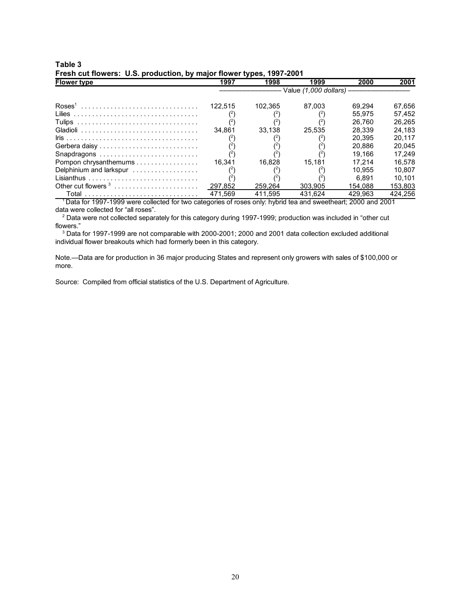| <b>Flower type</b>                                                    | 1997    | 1998    | 1999    | 2000    | 2001    |  |  |
|-----------------------------------------------------------------------|---------|---------|---------|---------|---------|--|--|
|                                                                       |         |         |         |         |         |  |  |
| $\text{Ross}^1$                                                       | 122.515 | 102.365 | 87.003  | 69.294  | 67,656  |  |  |
|                                                                       |         |         |         | 55.975  | 57.452  |  |  |
|                                                                       |         |         |         | 26.760  | 26.265  |  |  |
|                                                                       | 34.861  | 33.138  | 25.535  | 28.339  | 24.183  |  |  |
|                                                                       |         |         |         | 20.395  | 20.117  |  |  |
| Gerbera daisy                                                         |         |         |         | 20.886  | 20.045  |  |  |
| Snapdragons                                                           |         |         |         | 19.166  | 17.249  |  |  |
| Pompon chrysanthemums                                                 | 16.341  | 16.828  | 15.181  | 17.214  | 16.578  |  |  |
| Delphinium and larkspur                                               |         |         |         | 10.955  | 10.807  |  |  |
|                                                                       |         |         |         | 6.891   | 10.101  |  |  |
| Other cut flowers $3, \ldots, \ldots, \ldots, \ldots, \ldots, \ldots$ | 297.852 | 259.264 | 303.905 | 154.088 | 153.803 |  |  |
|                                                                       | 471.569 | 411.595 | 431.624 | 429.963 | 424.256 |  |  |

## **Table 3 Fresh cut flowers: U.S. production, by major flower types, 1997-2001**

1 Data for 1997-1999 were collected for two categories of roses only: hybrid tea and sweetheart; 2000 and 2001 data were collected for "all roses".

<sup>2</sup> Data were not collected separately for this category during 1997-1999; production was included in "other cut flowers."

 ${}^{3}$  Data for 1997-1999 are not comparable with 2000-2001; 2000 and 2001 data collection excluded additional individual flower breakouts which had formerly been in this category.

Note.—Data are for production in 36 major producing States and represent only growers with sales of \$100,000 or more.

Source: Compiled from official statistics of the U.S. Department of Agriculture.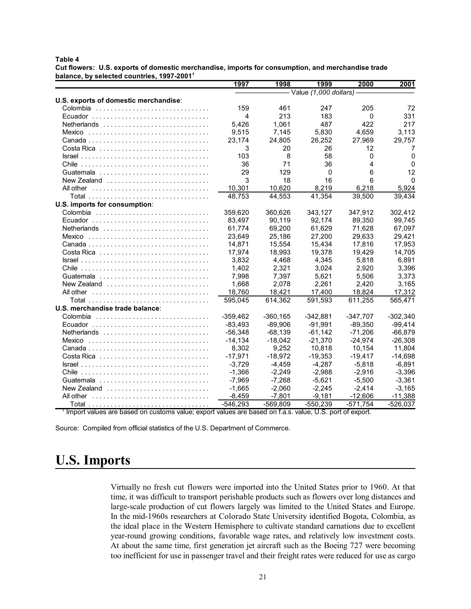#### **Table 4**

**Cut flowers: U.S. exports of domestic merchandise, imports for consumption, and merchandise trade balance, by selected countries, 1997-20011** 

|                                                                                                                               | 1997       | 1998       | 1999                    | 2000       | 2001       |
|-------------------------------------------------------------------------------------------------------------------------------|------------|------------|-------------------------|------------|------------|
|                                                                                                                               |            |            | - Value (1,000 dollars) |            |            |
| U.S. exports of domestic merchandise:                                                                                         |            |            |                         |            |            |
|                                                                                                                               | 159        | 461        | 247                     | 205        | 72         |
| Ecuador                                                                                                                       | 4          | 213        | 183                     | 0          | 331        |
| Netherlands                                                                                                                   | 5,426      | 1,061      | 487                     | 422        | 217        |
| Mexico                                                                                                                        | 9,515      | 7,145      | 5,830                   | 4,659      | 3,113      |
|                                                                                                                               | 23,174     | 24,805     | 26,252                  | 27,969     | 29,757     |
| Costa Rica $\ldots \ldots \ldots \ldots \ldots \ldots \ldots \ldots$                                                          | 3          | 20         | 26                      | 12         | 7          |
| $\textsf{Israel} \dots \dots \dots \dots \dots \dots \dots \dots \dots \dots \dots \dots \dots \dots \dots \dots \dots \dots$ | 103        | 8          | 58                      | 0          | 0          |
|                                                                                                                               | 36         | 71         | 36                      | 4          | $\Omega$   |
|                                                                                                                               | 29         | 129        | $\mathbf 0$             | 6          | 12         |
| New Zealand                                                                                                                   | 3          | 18         | 16                      | 6          | $\Omega$   |
|                                                                                                                               | 10,301     | 10,620     | 8,219                   | 6,218      | 5,924      |
|                                                                                                                               | 48,753     | 44,553     | 41,354                  | 39,500     | 39,434     |
| U.S. imports for consumption:                                                                                                 |            |            |                         |            |            |
|                                                                                                                               | 359,620    | 360,626    | 343,127                 | 347,912    | 302,412    |
| Ecuador                                                                                                                       | 83,497     | 90,119     | 92,174                  | 89,350     | 99,745     |
| Netherlands                                                                                                                   | 61,774     | 69,200     | 61,629                  | 71,628     | 67,097     |
|                                                                                                                               | 23.649     | 25.186     | 27.200                  | 29.633     | 29,421     |
|                                                                                                                               | 14,871     | 15.554     | 15,434                  | 17,816     | 17,953     |
|                                                                                                                               | 17.974     | 18,993     | 19,378                  | 19,429     | 14,705     |
| $Israel \dots \dots \dots \dots \dots \dots \dots \dots \dots \dots \dots \dots$                                              | 3,832      | 4,468      | 4,345                   | 5,818      | 6,891      |
|                                                                                                                               | 1.402      | 2,321      | 3,024                   | 2,920      | 3,396      |
|                                                                                                                               | 7,998      | 7,397      | 5,621                   | 5,506      | 3,373      |
| New Zealand $\ldots, \ldots, \ldots, \ldots, \ldots, \ldots, \ldots$                                                          | 1,668      | 2,078      | 2,261                   | 2,420      | 3,165      |
| All other                                                                                                                     | 18,760     | 18,421     | 17,400                  | 18,824     | 17,312     |
|                                                                                                                               | 595,045    | 614,362    | 591,593                 | 611,255    | 565,471    |
| U.S. merchandise trade balance:                                                                                               |            |            |                         |            |            |
|                                                                                                                               | $-359,462$ | $-360,165$ | $-342,881$              | $-347,707$ | $-302,340$ |
| Ecuador                                                                                                                       | $-83.493$  | $-89,906$  | $-91,991$               | $-89,350$  | $-99,414$  |
| Netherlands                                                                                                                   | $-56,348$  | $-68,139$  | $-61,142$               | $-71,206$  | $-66,879$  |
|                                                                                                                               | $-14.134$  | $-18.042$  | $-21.370$               | $-24,974$  | $-26,308$  |
|                                                                                                                               | 8,302      | 9,252      | 10,818                  | 10,154     | 11,804     |
|                                                                                                                               | $-17,971$  | $-18,972$  | $-19,353$               | $-19,417$  | $-14,698$  |
| $Israel              $                                                                                                        | $-3.729$   | $-4.459$   | $-4.287$                | $-5.818$   | $-6,891$   |
|                                                                                                                               | $-1,366$   | $-2,249$   | $-2,988$                | $-2,916$   | $-3,396$   |
|                                                                                                                               | $-7,969$   | $-7,268$   | $-5,621$                | $-5,500$   | $-3,361$   |
| New Zealand $\ldots, \ldots, \ldots, \ldots, \ldots, \ldots, \ldots$                                                          | $-1.665$   | $-2,060$   | $-2.245$                | $-2.414$   | $-3,165$   |
| All other                                                                                                                     | $-8,459$   | $-7,801$   | $-9.181$                | $-12,606$  | $-11,388$  |
|                                                                                                                               | $-546,293$ | $-569,809$ | $-550,239$              | $-571,754$ | $-526,037$ |

<sup>1</sup> Import values are based on customs value; export values are based on f.a.s. value, U.S. port of export.

Source: Compiled from official statistics of the U.S. Department of Commerce.

## **U.S. Imports**

Virtually no fresh cut flowers were imported into the United States prior to 1960. At that time, it was difficult to transport perishable products such as flowers over long distances and large-scale production of cut flowers largely was limited to the United States and Europe. In the mid-1960s researchers at Colorado State University identified Bogota, Colombia, as the ideal place in the Western Hemisphere to cultivate standard carnations due to excellent year-round growing conditions, favorable wage rates, and relatively low investment costs. At about the same time, first generation jet aircraft such as the Boeing 727 were becoming too inefficient for use in passenger travel and their freight rates were reduced for use as cargo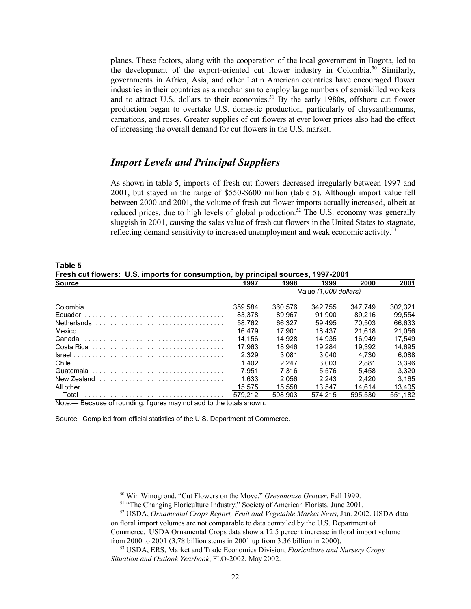planes. These factors, along with the cooperation of the local government in Bogota, led to the development of the export-oriented cut flower industry in Colombia.<sup>50</sup> Similarly, governments in Africa, Asia, and other Latin American countries have encouraged flower industries in their countries as a mechanism to employ large numbers of semiskilled workers and to attract U.S. dollars to their economies.<sup>51</sup> By the early 1980s, offshore cut flower production began to overtake U.S. domestic production, particularly of chrysanthemums, carnations, and roses. Greater supplies of cut flowers at ever lower prices also had the effect of increasing the overall demand for cut flowers in the U.S. market.

#### *Import Levels and Principal Suppliers*

As shown in table 5, imports of fresh cut flowers decreased irregularly between 1997 and 2001, but stayed in the range of \$550-\$600 million (table 5). Although import value fell between 2000 and 2001, the volume of fresh cut flower imports actually increased, albeit at reduced prices, due to high levels of global production.<sup>52</sup> The U.S. economy was generally sluggish in 2001, causing the sales value of fresh cut flowers in the United States to stagnate, reflecting demand sensitivity to increased unemployment and weak economic activity.<sup>53</sup>

| Fresh cut flowers: U.S. imports for consumption, by principal sources, 1997-2001                                              |                                   |         |         |         |         |  |
|-------------------------------------------------------------------------------------------------------------------------------|-----------------------------------|---------|---------|---------|---------|--|
| <b>Source</b>                                                                                                                 | 1997                              | 1998    | 1999    | 2000    | 2001    |  |
|                                                                                                                               | – Value <i>(1,000 dollars)</i> –— |         |         |         |         |  |
|                                                                                                                               | 359,584                           | 360.576 | 342.755 | 347.749 | 302.321 |  |
|                                                                                                                               | 83.378                            | 89.967  | 91.900  | 89.216  | 99.554  |  |
|                                                                                                                               | 58.762                            | 66.327  | 59.495  | 70.503  | 66.633  |  |
| Mexico                                                                                                                        | 16.479                            | 17.901  | 18.437  | 21.618  | 21.056  |  |
|                                                                                                                               | 14.156                            | 14.928  | 14.935  | 16.949  | 17.549  |  |
|                                                                                                                               | 17.963                            | 18.946  | 19.284  | 19.392  | 14.695  |  |
| $\textsf{Israel} \dots \dots \dots \dots \dots \dots \dots \dots \dots \dots \dots \dots \dots \dots \dots \dots \dots \dots$ | 2.329                             | 3.081   | 3.040   | 4.730   | 6.088   |  |
|                                                                                                                               | 1.402                             | 2.247   | 3.003   | 2.881   | 3.396   |  |
|                                                                                                                               | 7.951                             | 7.316   | 5.576   | 5.458   | 3.320   |  |
| New Zealand                                                                                                                   | 1.633                             | 2.056   | 2.243   | 2.420   | 3.165   |  |
|                                                                                                                               | 15.575                            | 15.558  | 13.547  | 14.614  | 13.405  |  |
|                                                                                                                               | 579.212                           | 598.903 | 574.215 | 595.530 | 551,182 |  |
| Note.— Because of rounding, figures may not add to the totals shown.                                                          |                                   |         |         |         |         |  |

**Table 5**

Source: Compiled from official statistics of the U.S. Department of Commerce.

 <sup>50</sup> Win Winogrond, "Cut Flowers on the Move," *Greenhouse Grower*, Fall 1999.

<sup>&</sup>lt;sup>51</sup> "The Changing Floriculture Industry," Society of American Florists, June 2001.

 <sup>52</sup> USDA, *Ornamental Crops Report, Fruit and Vegetable Market News*, Jan. 2002. USDA data on floral import volumes are not comparable to data compiled by the U.S. Department of Commerce. USDA Ornamental Crops data show a 12.5 percent increase in floral import volume from 2000 to 2001 (3.78 billion stems in 2001 up from 3.36 billion in 2000).

 <sup>53</sup> USDA, ERS, Market and Trade Economics Division, *Floriculture and Nursery Crops Situation and Outlook Yearbook*, FLO-2002, May 2002.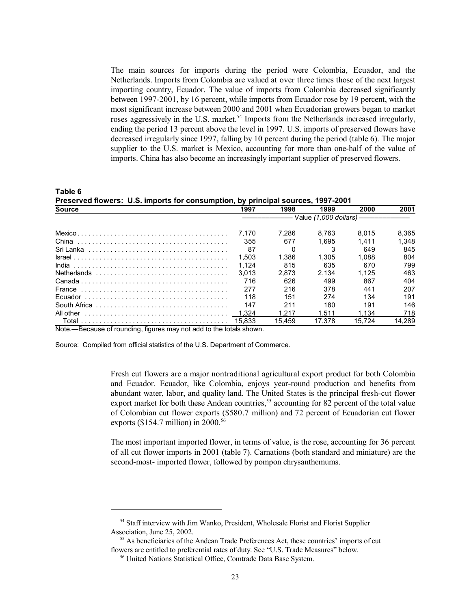The main sources for imports during the period were Colombia, Ecuador, and the Netherlands. Imports from Colombia are valued at over three times those of the next largest importing country, Ecuador. The value of imports from Colombia decreased significantly between 1997-2001, by 16 percent, while imports from Ecuador rose by 19 percent, with the most significant increase between 2000 and 2001 when Ecuadorian growers began to market roses aggressively in the U.S. market.<sup>54</sup> Imports from the Netherlands increased irregularly, ending the period 13 percent above the level in 1997. U.S. imports of preserved flowers have decreased irregularly since 1997, falling by 10 percent during the period (table 6). The major supplier to the U.S. market is Mexico, accounting for more than one-half of the value of imports. China has also become an increasingly important supplier of preserved flowers.

**Table 6 Preserved flowers: U.S. imports for consumption, by principal sources, 1997-2001 Source 1997 1998 1999 2000 2001** ––––––––––––– Value *(1,000 dollars)* ––––––––––––– Mexico . . . . . . . . . . . . . . . . . . . . . . . . . . . . . . . . . . . . . . . . . . . . 7,170 7,286 8,763 8,015 8,365 China . . . . . . . . . . . . . . . . . . . . . . . . . . . . . . . . . . . . . . . . . 355 677 1,695 1,411 1,348 Sri Lanka . . . . . . . . . . . . . . . . . . . . . . . . . . . . . . . . . . . . . . 87 0 3 649 845 Israel . . . . . . . . . . . . . . . . . . . . . . . . . . . . . . . . . . . . . . . . . . 1,503 1,386 1,305 1,088 804 India . . . . . . . . . . . . . . . . . . . . . . . . . . . . . . . . . . . . . . . . . . 1,124 815 635 670 799 Netherlands . . . . . . . . . . . . . . . . . . . . . . . . . . . . . . . . . . . . 3,013 2,873 2,134 1,125 463 Canada . . . . . . . . . . . . . . . . . . . . . . . . . . . . . . . . . . . . . . . . 716 626 499 867 404 France . . . . . . . . . . . . . . . . . . . . . . . . . . . . . . . . . . . . . . . . 277 216 378 441 207 Ecuador . . . . . . . . . . . . . . . . . . . . . . . . . . . . . . . . . . . . . . . 118 151 274 134 191 South Africa . . . . . . . . . . . . . . . . . . . . . . . . . . . . . . . . . . . . 147 211 180 191 146 All other . . . . . . . . . . . . . . . . . . . . . . . . . . . . . . . . . . . . . . . 1,324 1,217 1,511 1,134 718 Total . . . . . . . . . . . . . . . . . . . . . . . . . . . . . . . . . . . . . . . . 15,833 15,459 17,378 15,724 14,289

Note.—Because of rounding, figures may not add to the totals shown.

Source: Compiled from official statistics of the U.S. Department of Commerce.

Fresh cut flowers are a major nontraditional agricultural export product for both Colombia and Ecuador. Ecuador, like Colombia, enjoys year-round production and benefits from abundant water, labor, and quality land. The United States is the principal fresh-cut flower export market for both these Andean countries,<sup>55</sup> accounting for 82 percent of the total value of Colombian cut flower exports (\$580.7 million) and 72 percent of Ecuadorian cut flower exports (\$154.7 million) in 2000.<sup>56</sup>

The most important imported flower, in terms of value, is the rose, accounting for 36 percent of all cut flower imports in 2001 (table 7). Carnations (both standard and miniature) are the second-most- imported flower, followed by pompon chrysanthemums.

 <sup>54</sup> Staff interview with Jim Wanko, President, Wholesale Florist and Florist Supplier Association, June 25, 2002.

 <sup>55</sup> As beneficiaries of the Andean Trade Preferences Act, these countries' imports of cut flowers are entitled to preferential rates of duty. See "U.S. Trade Measures" below.

 <sup>56</sup> United Nations Statistical Office, Comtrade Data Base System.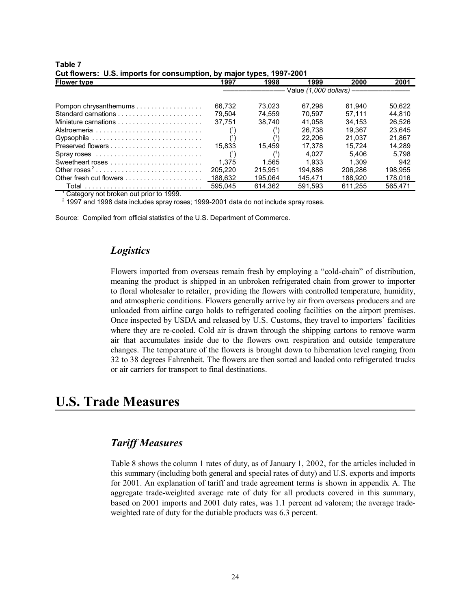| <b>Flower type</b>       | 1997    | 1998    | 1999    | 2000    | 2001    |  |
|--------------------------|---------|---------|---------|---------|---------|--|
|                          |         |         |         |         |         |  |
| Pompon chrysanthemums    | 66.732  | 73.023  | 67.298  | 61.940  | 50.622  |  |
|                          | 79.504  | 74.559  | 70.597  | 57.111  | 44.810  |  |
|                          | 37.751  | 38.740  | 41.058  | 34.153  | 26.526  |  |
|                          |         |         | 26.738  | 19.367  | 23.645  |  |
| Gypsophila               |         |         | 22.206  | 21.037  | 21.867  |  |
|                          | 15.833  | 15.459  | 17.378  | 15.724  | 14.289  |  |
|                          |         |         | 4.027   | 5.406   | 5.798   |  |
|                          | 1.375   | 1.565   | 1.933   | 1.309   | 942     |  |
| Other roses <sup>2</sup> | 205.220 | 215.951 | 194.886 | 206.286 | 198,955 |  |
| Other fresh cut flowers  | 188.632 | 195.064 | 145.471 | 188.920 | 178,016 |  |
|                          | 595.045 | 614.362 | 591.593 | 611.255 | 565.471 |  |

#### **Table 7 Cut flowers: U.S. imports for consumption, by major types, 1997-2001**

<sup>1</sup> Category not broken out prior to 1999.

2 1997 and 1998 data includes spray roses; 1999-2001 data do not include spray roses.

Source: Compiled from official statistics of the U.S. Department of Commerce.

## *Logistics*

Flowers imported from overseas remain fresh by employing a "cold-chain" of distribution, meaning the product is shipped in an unbroken refrigerated chain from grower to importer to floral wholesaler to retailer, providing the flowers with controlled temperature, humidity, and atmospheric conditions. Flowers generally arrive by air from overseas producers and are unloaded from airline cargo holds to refrigerated cooling facilities on the airport premises. Once inspected by USDA and released by U.S. Customs, they travel to importers' facilities where they are re-cooled. Cold air is drawn through the shipping cartons to remove warm air that accumulates inside due to the flowers own respiration and outside temperature changes. The temperature of the flowers is brought down to hibernation level ranging from 32 to 38 degrees Fahrenheit. The flowers are then sorted and loaded onto refrigerated trucks or air carriers for transport to final destinations.

## **U.S. Trade Measures**

## *Tariff Measures*

Table 8 shows the column 1 rates of duty, as of January 1, 2002, for the articles included in this summary (including both general and special rates of duty) and U.S. exports and imports for 2001. An explanation of tariff and trade agreement terms is shown in appendix A. The aggregate trade-weighted average rate of duty for all products covered in this summary, based on 2001 imports and 2001 duty rates, was 1.1 percent ad valorem; the average tradeweighted rate of duty for the dutiable products was 6.3 percent.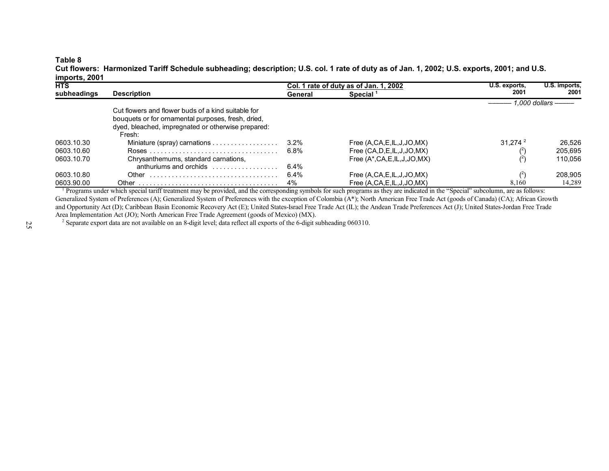#### **Table 8**

**Cut flowers: Harmonized Tariff Schedule subheading; description; U.S. col. 1 rate of duty as of Jan. 1, 2002; U.S. exports, 2001; and U.S. imports, 2001**

| <b>HTS</b>  |                                                                                                                                                                          |         | Col. 1 rate of duty as of Jan. 1, 2002 | U.S. exports.       | U.S. imports.       |
|-------------|--------------------------------------------------------------------------------------------------------------------------------------------------------------------------|---------|----------------------------------------|---------------------|---------------------|
| subheadings | <b>Description</b>                                                                                                                                                       | General | Special <sup>1</sup>                   | 2001                | 2001                |
|             |                                                                                                                                                                          |         |                                        |                     | — 1.000 dollars ——— |
|             | Cut flowers and flower buds of a kind suitable for<br>bouquets or for ornamental purposes, fresh, dried,<br>dyed, bleached, impregnated or otherwise prepared:<br>Fresh: |         |                                        |                     |                     |
| 0603.10.30  | Miniature (spray) carnations                                                                                                                                             | $3.2\%$ | Free $(A, CA, E, IL, J, JO, MX)$       | 31.274 <sup>2</sup> | 26.526              |
| 0603.10.60  |                                                                                                                                                                          | 6.8%    | Free (CA, D, E, IL, J, JO, MX)         |                     | 205.695             |
| 0603.10.70  | Chrysanthemums, standard carnations,<br>anthuriums and orchids                                                                                                           | $6.4\%$ | Free $(A^*, CA, E, IL, J, JO, MX)$     |                     | 110.056             |
| 0603.10.80  | Other $\ldots \ldots \ldots \ldots \ldots \ldots \ldots \ldots \ldots \ldots$                                                                                            | 6.4%    | Free $(A, CA, E, IL, J, JO, MX)$       | (2)                 | 208.905             |
| 0603.90.00  |                                                                                                                                                                          | 4%      | Free $(A, CA, E, IL, J, JO, MX)$       | 8,160               | 14,289              |

<sup>1</sup> Programs under which special tariff treatment may be provided, and the corresponding symbols for such programs as they are indicated in the "Special" subcolumn, are as follows: Generalized System of Preferences (A); Generalized System of Preferences with the exception of Colombia (A\*); North American Free Trade Act (goods of Canada) (CA); African Growth and Opportunity Act (D); Caribbean Basin Economic Recovery Act (E); United States-Israel Free Trade Act (IL); the Andean Trade Preferences Act (J); United States-Jordan Free Trade Area Implementation Act (JO); North American Free Trade Agreement (goods of Mexico) (MX).

<sup>2</sup> Separate export data are not available on an 8-digit level; data reflect all exports of the 6-digit subheading 060310.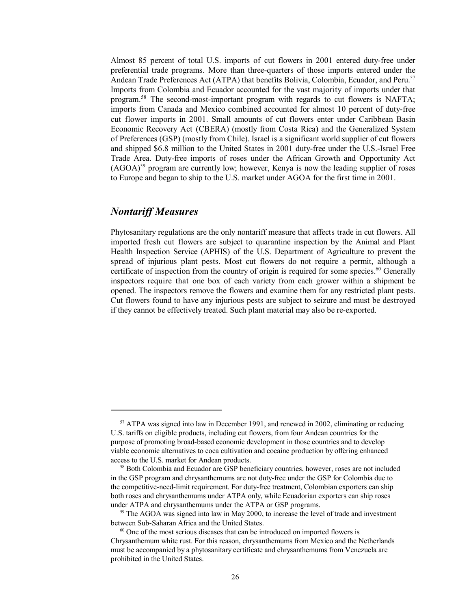Almost 85 percent of total U.S. imports of cut flowers in 2001 entered duty-free under preferential trade programs. More than three-quarters of those imports entered under the Andean Trade Preferences Act (ATPA) that benefits Bolivia, Colombia, Ecuador, and Peru.<sup>57</sup> Imports from Colombia and Ecuador accounted for the vast majority of imports under that program.58 The second-most-important program with regards to cut flowers is NAFTA; imports from Canada and Mexico combined accounted for almost 10 percent of duty-free cut flower imports in 2001. Small amounts of cut flowers enter under Caribbean Basin Economic Recovery Act (CBERA) (mostly from Costa Rica) and the Generalized System of Preferences (GSP) (mostly from Chile). Israel is a significant world supplier of cut flowers and shipped \$6.8 million to the United States in 2001 duty-free under the U.S.-Israel Free Trade Area. Duty-free imports of roses under the African Growth and Opportunity Act  $(AGOA)^{59}$  program are currently low; however, Kenya is now the leading supplier of roses to Europe and began to ship to the U.S. market under AGOA for the first time in 2001.

## *Nontariff Measures*

Phytosanitary regulations are the only nontariff measure that affects trade in cut flowers. All imported fresh cut flowers are subject to quarantine inspection by the Animal and Plant Health Inspection Service (APHIS) of the U.S. Department of Agriculture to prevent the spread of injurious plant pests. Most cut flowers do not require a permit, although a certificate of inspection from the country of origin is required for some species. $60$  Generally inspectors require that one box of each variety from each grower within a shipment be opened. The inspectors remove the flowers and examine them for any restricted plant pests. Cut flowers found to have any injurious pests are subject to seizure and must be destroyed if they cannot be effectively treated. Such plant material may also be re-exported.

<sup>&</sup>lt;sup>57</sup> ATPA was signed into law in December 1991, and renewed in 2002, eliminating or reducing U.S. tariffs on eligible products, including cut flowers, from four Andean countries for the purpose of promoting broad-based economic development in those countries and to develop viable economic alternatives to coca cultivation and cocaine production by offering enhanced access to the U.S. market for Andean products.

<sup>&</sup>lt;sup>58</sup> Both Colombia and Ecuador are GSP beneficiary countries, however, roses are not included in the GSP program and chrysanthemums are not duty-free under the GSP for Colombia due to the competitive-need-limit requirement. For duty-free treatment, Colombian exporters can ship both roses and chrysanthemums under ATPA only, while Ecuadorian exporters can ship roses under ATPA and chrysanthemums under the ATPA or GSP programs.

<sup>&</sup>lt;sup>59</sup> The AGOA was signed into law in May 2000, to increase the level of trade and investment between Sub-Saharan Africa and the United States.

<sup>&</sup>lt;sup>60</sup> One of the most serious diseases that can be introduced on imported flowers is Chrysanthemum white rust. For this reason, chrysanthemums from Mexico and the Netherlands must be accompanied by a phytosanitary certificate and chrysanthemums from Venezuela are prohibited in the United States.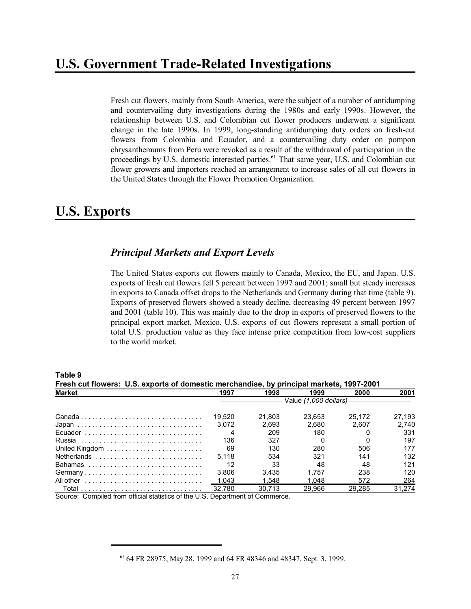Fresh cut flowers, mainly from South America, were the subject of a number of antidumping and countervailing duty investigations during the 1980s and early 1990s. However, the relationship between U.S. and Colombian cut flower producers underwent a significant change in the late 1990s. In 1999, long-standing antidumping duty orders on fresh-cut flowers from Colombia and Ecuador, and a countervailing duty order on pompon chrysanthemums from Peru were revoked as a result of the withdrawal of participation in the proceedings by U.S. domestic interested parties.<sup>61</sup> That same year, U.S. and Colombian cut flower growers and importers reached an arrangement to increase sales of all cut flowers in the United States through the Flower Promotion Organization.

## **U.S. Exports**

## *Principal Markets and Export Levels*

The United States exports cut flowers mainly to Canada, Mexico, the EU, and Japan. U.S. exports of fresh cut flowers fell 5 percent between 1997 and 2001; small but steady increases in exports to Canada offset drops to the Netherlands and Germany during that time (table 9). Exports of preserved flowers showed a steady decline, decreasing 49 percent between 1997 and 2001 (table 10). This was mainly due to the drop in exports of preserved flowers to the principal export market, Mexico. U.S. exports of cut flowers represent a small portion of total U.S. production value as they face intense price competition from low-cost suppliers to the world market.

| Fresh cut flowers: U.S. exports of domestic merchandise, by principal markets, 1997-2001 |                                        |        |        |        |        |  |  |  |  |
|------------------------------------------------------------------------------------------|----------------------------------------|--------|--------|--------|--------|--|--|--|--|
|                                                                                          |                                        |        |        |        |        |  |  |  |  |
|                                                                                          | —— Value <i>(1.000 dollars) ——————</i> |        |        |        |        |  |  |  |  |
|                                                                                          | 19.520                                 | 21.803 | 23.653 | 25.172 | 27.193 |  |  |  |  |
|                                                                                          | 3.072                                  | 2.693  | 2.680  | 2.607  | 2.740  |  |  |  |  |
| Ecuador                                                                                  |                                        | 209    | 180    |        | 331    |  |  |  |  |
|                                                                                          | 136                                    | 327    |        |        | 197    |  |  |  |  |
|                                                                                          | 69                                     | 130    | 280    | 506    | 177    |  |  |  |  |
|                                                                                          | 5.118                                  | 534    | 321    | 141    | 132    |  |  |  |  |
| Bahamas                                                                                  | 12                                     | 33     | 48     | 48     | 121    |  |  |  |  |
| Germany                                                                                  | 3.806                                  | 3.435  | 1.757  | 238    | 120    |  |  |  |  |
| All other                                                                                | 1.043                                  | 1.548  | 1.048  | 572    | 264    |  |  |  |  |
|                                                                                          | 32.780                                 | 30.713 | 29.966 | 29.285 | 31.274 |  |  |  |  |

**Table 9**

Source: Compiled from official statistics of the U.S. Department of Commerce.

 <sup>61 64</sup> FR 28975, May 28, 1999 and 64 FR 48346 and 48347, Sept. 3, 1999.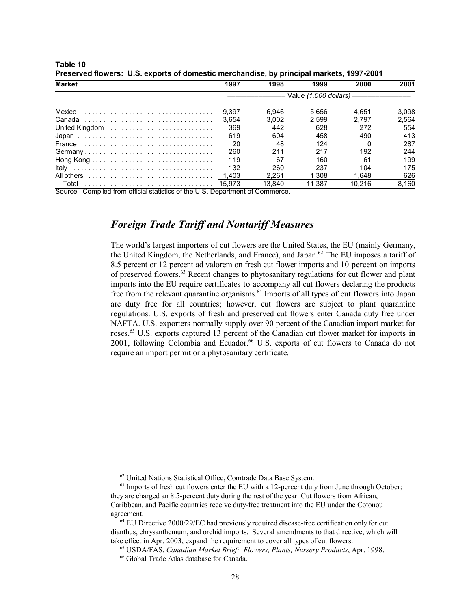| <b>Market</b>  | 1997                                       | 1998   | 1999   | 2000   | 2001  |  |  |
|----------------|--------------------------------------------|--------|--------|--------|-------|--|--|
|                | - Value (1,000 dollars) ------------------ |        |        |        |       |  |  |
|                | 9.397                                      | 6.946  | 5.656  | 4.651  | 3.098 |  |  |
|                | 3.654                                      | 3.002  | 2.599  | 2.797  | 2.564 |  |  |
| United Kingdom | 369                                        | 442    | 628    | 272    | 554   |  |  |
|                | 619                                        | 604    | 458    | 490    | 413   |  |  |
|                | 20                                         | 48     | 124    |        | 287   |  |  |
| Germany        | 260                                        | 211    | 217    | 192    | 244   |  |  |
|                | 119                                        | 67     | 160    | 61     | 199   |  |  |
|                | 132                                        | 260    | 237    | 104    | 175   |  |  |
|                | 1.403                                      | 2.261  | 1.308  | 1.648  | 626   |  |  |
|                | 15.973                                     | 13.840 | 11.387 | 10.216 | 8.160 |  |  |

**Table 10 Preserved flowers: U.S. exports of domestic merchandise, by principal markets, 1997-2001**

Source: Compiled from official statistics of the U.S. Department of Commerce.

## *Foreign Trade Tariff and Nontariff Measures*

The world's largest importers of cut flowers are the United States, the EU (mainly Germany, the United Kingdom, the Netherlands, and France), and Japan.<sup>62</sup> The EU imposes a tariff of 8.5 percent or 12 percent ad valorem on fresh cut flower imports and 10 percent on imports of preserved flowers.<sup>63</sup> Recent changes to phytosanitary regulations for cut flower and plant imports into the EU require certificates to accompany all cut flowers declaring the products free from the relevant quarantine organisms.<sup>64</sup> Imports of all types of cut flowers into Japan are duty free for all countries; however, cut flowers are subject to plant quarantine regulations. U.S. exports of fresh and preserved cut flowers enter Canada duty free under NAFTA. U.S. exporters normally supply over 90 percent of the Canadian import market for roses.<sup>65</sup> U.S. exports captured 13 percent of the Canadian cut flower market for imports in 2001, following Colombia and Ecuador.<sup>66</sup> U.S. exports of cut flowers to Canada do not require an import permit or a phytosanitary certificate.

 <sup>62</sup> United Nations Statistical Office, Comtrade Data Base System.

 $63$  Imports of fresh cut flowers enter the EU with a 12-percent duty from June through October; they are charged an 8.5-percent duty during the rest of the year. Cut flowers from African, Caribbean, and Pacific countries receive duty-free treatment into the EU under the Cotonou agreement.

 <sup>64</sup> EU Directive 2000/29/EC had previously required disease-free certification only for cut dianthus, chrysanthemum, and orchid imports. Several amendments to that directive, which will take effect in Apr. 2003, expand the requirement to cover all types of cut flowers.

 <sup>65</sup> USDA/FAS, *Canadian Market Brief: Flowers, Plants, Nursery Products*, Apr. 1998.

 <sup>66</sup> Global Trade Atlas database for Canada.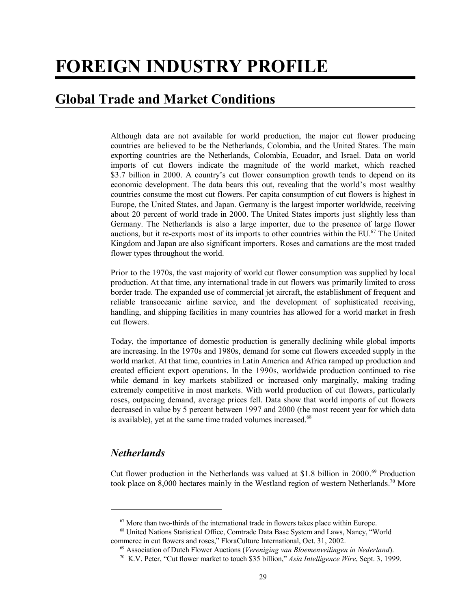# **FOREIGN INDUSTRY PROFILE**

# **Global Trade and Market Conditions**

Although data are not available for world production, the major cut flower producing countries are believed to be the Netherlands, Colombia, and the United States. The main exporting countries are the Netherlands, Colombia, Ecuador, and Israel. Data on world imports of cut flowers indicate the magnitude of the world market, which reached \$3.7 billion in 2000. A country's cut flower consumption growth tends to depend on its economic development. The data bears this out, revealing that the world's most wealthy countries consume the most cut flowers. Per capita consumption of cut flowers is highest in Europe, the United States, and Japan. Germany is the largest importer worldwide, receiving about 20 percent of world trade in 2000. The United States imports just slightly less than Germany. The Netherlands is also a large importer, due to the presence of large flower auctions, but it re-exports most of its imports to other countries within the EU.<sup>67</sup> The United Kingdom and Japan are also significant importers. Roses and carnations are the most traded flower types throughout the world.

Prior to the 1970s, the vast majority of world cut flower consumption was supplied by local production. At that time, any international trade in cut flowers was primarily limited to cross border trade. The expanded use of commercial jet aircraft, the establishment of frequent and reliable transoceanic airline service, and the development of sophisticated receiving, handling, and shipping facilities in many countries has allowed for a world market in fresh cut flowers.

Today, the importance of domestic production is generally declining while global imports are increasing. In the 1970s and 1980s, demand for some cut flowers exceeded supply in the world market. At that time, countries in Latin America and Africa ramped up production and created efficient export operations. In the 1990s, worldwide production continued to rise while demand in key markets stabilized or increased only marginally, making trading extremely competitive in most markets. With world production of cut flowers, particularly roses, outpacing demand, average prices fell. Data show that world imports of cut flowers decreased in value by 5 percent between 1997 and 2000 (the most recent year for which data is available), yet at the same time traded volumes increased.<sup>68</sup>

## *Netherlands*

Cut flower production in the Netherlands was valued at \$1.8 billion in 2000.69 Production took place on 8,000 hectares mainly in the Westland region of western Netherlands.<sup>70</sup> More

 $67$  More than two-thirds of the international trade in flowers takes place within Europe.

 <sup>68</sup> United Nations Statistical Office, Comtrade Data Base System and Laws, Nancy, "World commerce in cut flowers and roses," FloraCulture International, Oct. 31, 2002.

 <sup>69</sup> Association of Dutch Flower Auctions (*Vereniging van Bloemenveilingen in Nederland*).

 <sup>70</sup> K.V. Peter, "Cut flower market to touch \$35 billion," *Asia Intelligence Wire*, Sept. 3, 1999.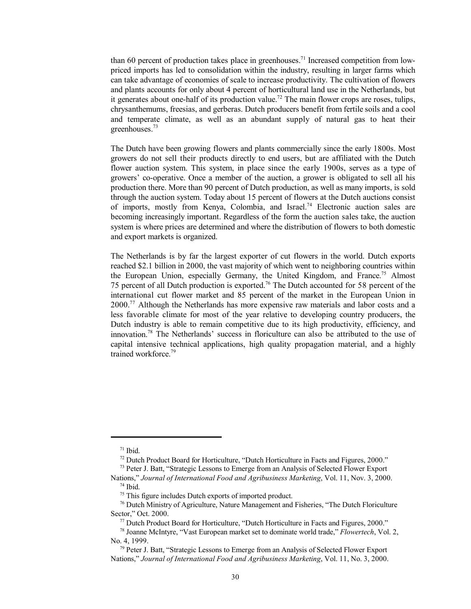than 60 percent of production takes place in greenhouses.<sup>71</sup> Increased competition from lowpriced imports has led to consolidation within the industry, resulting in larger farms which can take advantage of economies of scale to increase productivity. The cultivation of flowers and plants accounts for only about 4 percent of horticultural land use in the Netherlands, but it generates about one-half of its production value.<sup>72</sup> The main flower crops are roses, tulips, chrysanthemums, freesias, and gerberas. Dutch producers benefit from fertile soils and a cool and temperate climate, as well as an abundant supply of natural gas to heat their greenhouses.73

The Dutch have been growing flowers and plants commercially since the early 1800s. Most growers do not sell their products directly to end users, but are affiliated with the Dutch flower auction system. This system, in place since the early 1900s, serves as a type of growers' co-operative. Once a member of the auction, a grower is obligated to sell all his production there. More than 90 percent of Dutch production, as well as many imports, is sold through the auction system. Today about 15 percent of flowers at the Dutch auctions consist of imports, mostly from Kenya, Colombia, and Israel.74 Electronic auction sales are becoming increasingly important. Regardless of the form the auction sales take, the auction system is where prices are determined and where the distribution of flowers to both domestic and export markets is organized.

The Netherlands is by far the largest exporter of cut flowers in the world. Dutch exports reached \$2.1 billion in 2000, the vast majority of which went to neighboring countries within the European Union, especially Germany, the United Kingdom, and France.<sup>75</sup> Almost 75 percent of all Dutch production is exported.76 The Dutch accounted for 58 percent of the international cut flower market and 85 percent of the market in the European Union in 2000.77 Although the Netherlands has more expensive raw materials and labor costs and a less favorable climate for most of the year relative to developing country producers, the Dutch industry is able to remain competitive due to its high productivity, efficiency, and innovation.78 The Netherlands' success in floriculture can also be attributed to the use of capital intensive technical applications, high quality propagation material, and a highly trained workforce.79

 $71$  Ibid.

<sup>&</sup>lt;sup>72</sup> Dutch Product Board for Horticulture, "Dutch Horticulture in Facts and Figures, 2000."

<sup>&</sup>lt;sup>73</sup> Peter J. Batt, "Strategic Lessons to Emerge from an Analysis of Selected Flower Export

Nations," *Journal of International Food and Agribusiness Marketing*, Vol. 11, Nov. 3, 2000. 74 Ibid.

<sup>&</sup>lt;sup>75</sup> This figure includes Dutch exports of imported product.

 <sup>76</sup> Dutch Ministry of Agriculture, Nature Management and Fisheries, "The Dutch Floriculture Sector," Oct. 2000.

 <sup>77</sup> Dutch Product Board for Horticulture, "Dutch Horticulture in Facts and Figures, 2000."

 <sup>78</sup> Joanne McIntyre, "Vast European market set to dominate world trade," *Flowertech*, Vol. 2, No. 4, 1999.

 $79$  Peter J. Batt, "Strategic Lessons to Emerge from an Analysis of Selected Flower Export Nations," *Journal of International Food and Agribusiness Marketing*, Vol. 11, No. 3, 2000.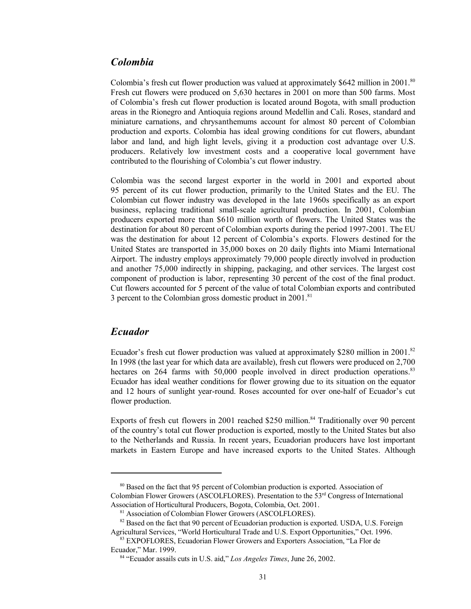#### *Colombia*

Colombia's fresh cut flower production was valued at approximately \$642 million in 2001.<sup>80</sup> Fresh cut flowers were produced on 5,630 hectares in 2001 on more than 500 farms. Most of Colombia's fresh cut flower production is located around Bogota, with small production areas in the Rionegro and Antioquia regions around Medellin and Cali. Roses, standard and miniature carnations, and chrysanthemums account for almost 80 percent of Colombian production and exports. Colombia has ideal growing conditions for cut flowers, abundant labor and land, and high light levels, giving it a production cost advantage over U.S. producers. Relatively low investment costs and a cooperative local government have contributed to the flourishing of Colombia's cut flower industry.

Colombia was the second largest exporter in the world in 2001 and exported about 95 percent of its cut flower production, primarily to the United States and the EU. The Colombian cut flower industry was developed in the late 1960s specifically as an export business, replacing traditional small-scale agricultural production. In 2001, Colombian producers exported more than \$610 million worth of flowers. The United States was the destination for about 80 percent of Colombian exports during the period 1997-2001. The EU was the destination for about 12 percent of Colombia's exports. Flowers destined for the United States are transported in 35,000 boxes on 20 daily flights into Miami International Airport. The industry employs approximately 79,000 people directly involved in production and another 75,000 indirectly in shipping, packaging, and other services. The largest cost component of production is labor, representing 30 percent of the cost of the final product. Cut flowers accounted for 5 percent of the value of total Colombian exports and contributed 3 percent to the Colombian gross domestic product in  $2001$ .<sup>81</sup>

## *Ecuador*

Ecuador's fresh cut flower production was valued at approximately \$280 million in 2001.<sup>82</sup> In 1998 (the last year for which data are available), fresh cut flowers were produced on 2,700 hectares on 264 farms with 50,000 people involved in direct production operations.<sup>83</sup> Ecuador has ideal weather conditions for flower growing due to its situation on the equator and 12 hours of sunlight year-round. Roses accounted for over one-half of Ecuador's cut flower production.

Exports of fresh cut flowers in 2001 reached \$250 million.<sup>84</sup> Traditionally over 90 percent of the country's total cut flower production is exported, mostly to the United States but also to the Netherlands and Russia. In recent years, Ecuadorian producers have lost important markets in Eastern Europe and have increased exports to the United States. Although

<sup>&</sup>lt;sup>80</sup> Based on the fact that 95 percent of Colombian production is exported. Association of Colombian Flower Growers (ASCOLFLORES). Presentation to the 53rd Congress of International Association of Horticultural Producers, Bogota, Colombia, Oct. 2001.

<sup>&</sup>lt;sup>81</sup> Association of Colombian Flower Growers (ASCOLFLORES).

<sup>&</sup>lt;sup>82</sup> Based on the fact that 90 percent of Ecuadorian production is exported. USDA, U.S. Foreign Agricultural Services, "World Horticultural Trade and U.S. Export Opportunities," Oct. 1996.

 <sup>83</sup> EXPOFLORES, Ecuadorian Flower Growers and Exporters Association, "La Flor de Ecuador," Mar. 1999.

 <sup>84 &</sup>quot;Ecuador assails cuts in U.S. aid," *Los Angeles Times*, June 26, 2002.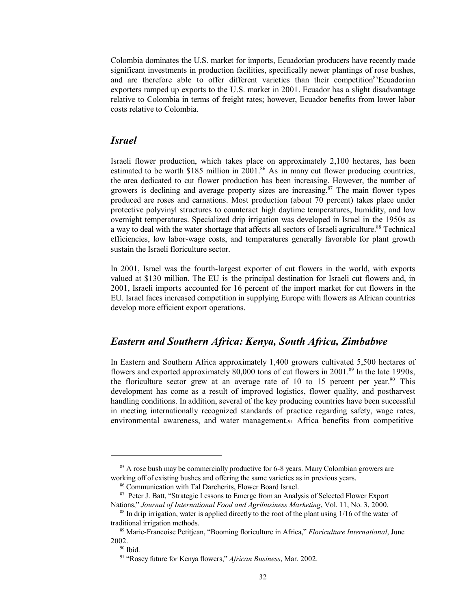Colombia dominates the U.S. market for imports, Ecuadorian producers have recently made significant investments in production facilities, specifically newer plantings of rose bushes, and are therefore able to offer different varieties than their competition<sup>85</sup>Ecuadorian exporters ramped up exports to the U.S. market in 2001. Ecuador has a slight disadvantage relative to Colombia in terms of freight rates; however, Ecuador benefits from lower labor costs relative to Colombia.

#### *Israel*

Israeli flower production, which takes place on approximately 2,100 hectares, has been estimated to be worth \$185 million in 2001.<sup>86</sup> As in many cut flower producing countries, the area dedicated to cut flower production has been increasing. However, the number of growers is declining and average property sizes are increasing.<sup>87</sup> The main flower types produced are roses and carnations. Most production (about 70 percent) takes place under protective polyvinyl structures to counteract high daytime temperatures, humidity, and low overnight temperatures. Specialized drip irrigation was developed in Israel in the 1950s as a way to deal with the water shortage that affects all sectors of Israeli agriculture.88 Technical efficiencies, low labor-wage costs, and temperatures generally favorable for plant growth sustain the Israeli floriculture sector.

In 2001, Israel was the fourth-largest exporter of cut flowers in the world, with exports valued at \$130 million. The EU is the principal destination for Israeli cut flowers and, in 2001, Israeli imports accounted for 16 percent of the import market for cut flowers in the EU. Israel faces increased competition in supplying Europe with flowers as African countries develop more efficient export operations.

#### *Eastern and Southern Africa: Kenya, South Africa, Zimbabwe*

In Eastern and Southern Africa approximately 1,400 growers cultivated 5,500 hectares of flowers and exported approximately 80,000 tons of cut flowers in 2001.<sup>89</sup> In the late 1990s, the floriculture sector grew at an average rate of 10 to 15 percent per year.<sup>90</sup> This development has come as a result of improved logistics, flower quality, and postharvest handling conditions. In addition, several of the key producing countries have been successful in meeting internationally recognized standards of practice regarding safety, wage rates, environmental awareness, and water management.91 Africa benefits from competitive

<sup>&</sup>lt;sup>85</sup> A rose bush may be commercially productive for 6-8 years. Many Colombian growers are working off of existing bushes and offering the same varieties as in previous years.

 <sup>86</sup> Communication with Tal Darcherits, Flower Board Israel.

<sup>&</sup>lt;sup>87</sup> Peter J. Batt, "Strategic Lessons to Emerge from an Analysis of Selected Flower Export Nations," *Journal of International Food and Agribusiness Marketing*, Vol. 11, No. 3, 2000.

 $88$  In drip irrigation, water is applied directly to the root of the plant using  $1/16$  of the water of traditional irrigation methods.

 <sup>89</sup> Marie-Francoise Petitjean, "Booming floriculture in Africa," *Floriculture International*, June 2002.

 $90$  Ibid.

 <sup>91 &</sup>quot;Rosey future for Kenya flowers," *African Business*, Mar. 2002.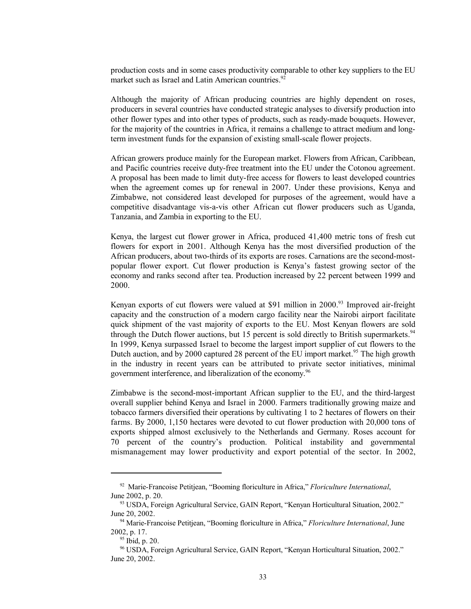production costs and in some cases productivity comparable to other key suppliers to the EU market such as Israel and Latin American countries.<sup>92</sup>

Although the majority of African producing countries are highly dependent on roses, producers in several countries have conducted strategic analyses to diversify production into other flower types and into other types of products, such as ready-made bouquets. However, for the majority of the countries in Africa, it remains a challenge to attract medium and longterm investment funds for the expansion of existing small-scale flower projects.

African growers produce mainly for the European market. Flowers from African, Caribbean, and Pacific countries receive duty-free treatment into the EU under the Cotonou agreement. A proposal has been made to limit duty-free access for flowers to least developed countries when the agreement comes up for renewal in 2007. Under these provisions, Kenya and Zimbabwe, not considered least developed for purposes of the agreement, would have a competitive disadvantage vis-a-vis other African cut flower producers such as Uganda, Tanzania, and Zambia in exporting to the EU.

Kenya, the largest cut flower grower in Africa, produced 41,400 metric tons of fresh cut flowers for export in 2001. Although Kenya has the most diversified production of the African producers, about two-thirds of its exports are roses. Carnations are the second-mostpopular flower export. Cut flower production is Kenya's fastest growing sector of the economy and ranks second after tea. Production increased by 22 percent between 1999 and 2000.

Kenyan exports of cut flowers were valued at \$91 million in  $2000<sup>93</sup>$  Improved air-freight capacity and the construction of a modern cargo facility near the Nairobi airport facilitate quick shipment of the vast majority of exports to the EU. Most Kenyan flowers are sold through the Dutch flower auctions, but 15 percent is sold directly to British supermarkets.<sup>94</sup> In 1999, Kenya surpassed Israel to become the largest import supplier of cut flowers to the Dutch auction, and by 2000 captured 28 percent of the EU import market.<sup>95</sup> The high growth in the industry in recent years can be attributed to private sector initiatives, minimal government interference, and liberalization of the economy.96

Zimbabwe is the second-most-important African supplier to the EU, and the third-largest overall supplier behind Kenya and Israel in 2000. Farmers traditionally growing maize and tobacco farmers diversified their operations by cultivating 1 to 2 hectares of flowers on their farms. By 2000, 1,150 hectares were devoted to cut flower production with 20,000 tons of exports shipped almost exclusively to the Netherlands and Germany. Roses account for 70 percent of the country's production. Political instability and governmental mismanagement may lower productivity and export potential of the sector. In 2002,

 <sup>92</sup> Marie-Francoise Petitjean, "Booming floriculture in Africa," *Floriculture International*, June 2002, p. 20.

 <sup>93</sup> USDA, Foreign Agricultural Service, GAIN Report, "Kenyan Horticultural Situation, 2002." June 20, 2002.

 <sup>94</sup> Marie-Francoise Petitjean, "Booming floriculture in Africa," *Floriculture International*, June 2002, p. 17.

 <sup>95</sup> Ibid, p. 20.

 <sup>96</sup> USDA, Foreign Agricultural Service, GAIN Report, "Kenyan Horticultural Situation, 2002." June 20, 2002.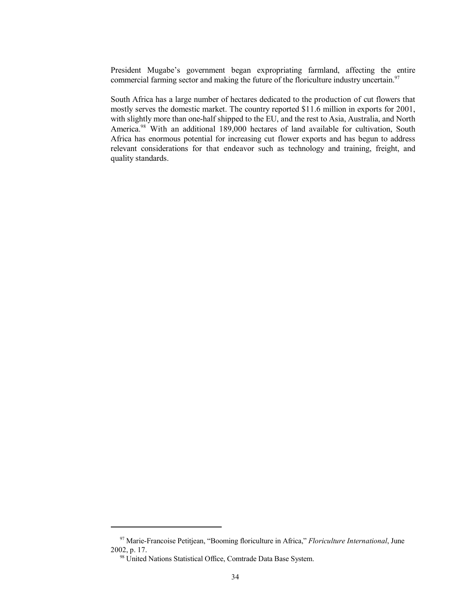President Mugabe's government began expropriating farmland, affecting the entire commercial farming sector and making the future of the floriculture industry uncertain.<sup>97</sup>

South Africa has a large number of hectares dedicated to the production of cut flowers that mostly serves the domestic market. The country reported \$11.6 million in exports for 2001, with slightly more than one-half shipped to the EU, and the rest to Asia, Australia, and North America.<sup>98</sup> With an additional 189,000 hectares of land available for cultivation, South Africa has enormous potential for increasing cut flower exports and has begun to address relevant considerations for that endeavor such as technology and training, freight, and quality standards.

 <sup>97</sup> Marie-Francoise Petitjean, "Booming floriculture in Africa," *Floriculture International*, June 2002, p. 17.

<sup>&</sup>lt;sup>98</sup> United Nations Statistical Office, Comtrade Data Base System.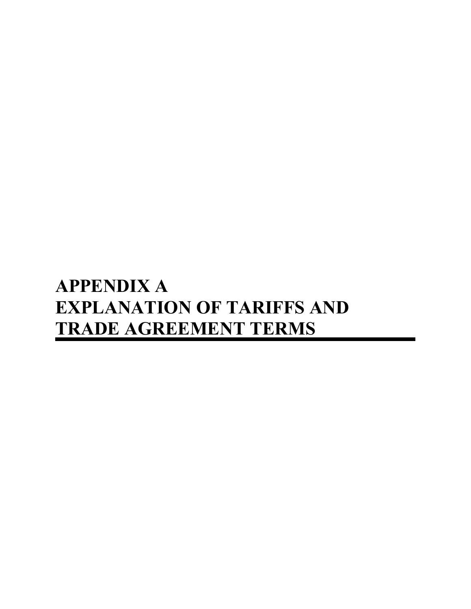# **APPENDIX A EXPLANATION OF TARIFFS AND TRADE AGREEMENT TERMS**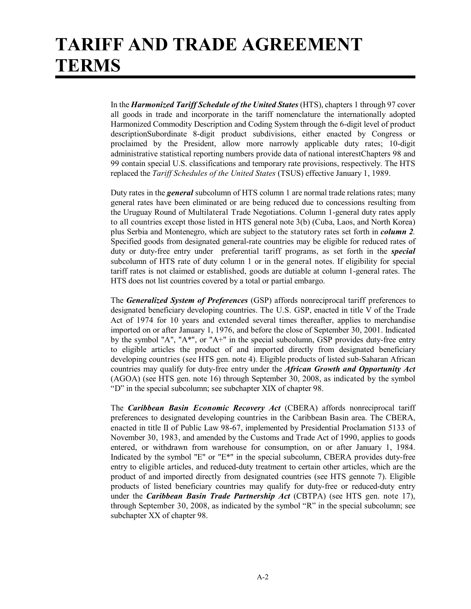# **TARIFF AND TRADE AGREEMENT TERMS**

In the *Harmonized Tariff Schedule of the United States* (HTS), chapters 1 through 97 cover all goods in trade and incorporate in the tariff nomenclature the internationally adopted Harmonized Commodity Description and Coding System through the 6-digit level of product descriptionSubordinate 8-digit product subdivisions, either enacted by Congress or proclaimed by the President, allow more narrowly applicable duty rates; 10-digit administrative statistical reporting numbers provide data of national interestChapters 98 and 99 contain special U.S. classifications and temporary rate provisions, respectively. The HTS replaced the *Tariff Schedules of the United States* (TSUS) effective January 1, 1989.

Duty rates in the *general* subcolumn of HTS column 1 are normal trade relations rates; many general rates have been eliminated or are being reduced due to concessions resulting from the Uruguay Round of Multilateral Trade Negotiations. Column 1-general duty rates apply to all countries except those listed in HTS general note 3(b) (Cuba, Laos, and North Korea) plus Serbia and Montenegro, which are subject to the statutory rates set forth in *column 2.* Specified goods from designated general-rate countries may be eligible for reduced rates of duty or duty-free entry under preferential tariff programs, as set forth in the *special* subcolumn of HTS rate of duty column 1 or in the general notes. If eligibility for special tariff rates is not claimed or established, goods are dutiable at column 1-general rates. The HTS does not list countries covered by a total or partial embargo.

The *Generalized System of Preferences* (GSP) affords nonreciprocal tariff preferences to designated beneficiary developing countries. The U.S. GSP, enacted in title V of the Trade Act of 1974 for 10 years and extended several times thereafter, applies to merchandise imported on or after January 1, 1976, and before the close of September 30, 2001. Indicated by the symbol "A", "A\*", or "A+" in the special subcolumn, GSP provides duty-free entry to eligible articles the product of and imported directly from designated beneficiary developing countries (see HTS gen. note 4). Eligible products of listed sub-Saharan African countries may qualify for duty-free entry under the *African Growth and Opportunity Act* (AGOA) (see HTS gen. note 16) through September 30, 2008, as indicated by the symbol "D" in the special subcolumn; see subchapter XIX of chapter 98.

The *Caribbean Basin Economic Recovery Act* (CBERA) affords nonreciprocal tariff preferences to designated developing countries in the Caribbean Basin area. The CBERA, enacted in title II of Public Law 98-67, implemented by Presidential Proclamation 5133 of November 30, 1983, and amended by the Customs and Trade Act of 1990, applies to goods entered, or withdrawn from warehouse for consumption, on or after January 1, 1984. Indicated by the symbol "E" or "E\*" in the special subcolumn, CBERA provides duty-free entry to eligible articles, and reduced-duty treatment to certain other articles, which are the product of and imported directly from designated countries (see HTS gennote 7). Eligible products of listed beneficiary countries may qualify for duty-free or reduced-duty entry under the *Caribbean Basin Trade Partnership Act* (CBTPA) (see HTS gen. note 17), through September 30, 2008, as indicated by the symbol "R" in the special subcolumn; see subchapter XX of chapter 98.